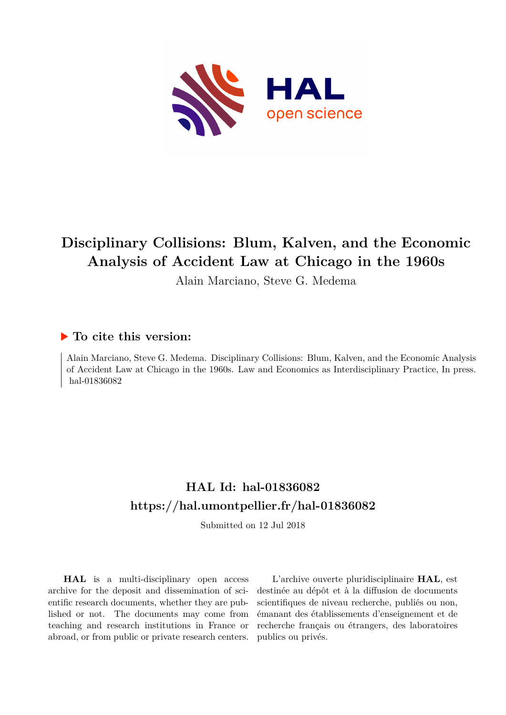

# **Disciplinary Collisions: Blum, Kalven, and the Economic Analysis of Accident Law at Chicago in the 1960s**

Alain Marciano, Steve G. Medema

### **To cite this version:**

Alain Marciano, Steve G. Medema. Disciplinary Collisions: Blum, Kalven, and the Economic Analysis of Accident Law at Chicago in the 1960s. Law and Economics as Interdisciplinary Practice, In press. hal-01836082

## **HAL Id: hal-01836082 <https://hal.umontpellier.fr/hal-01836082>**

Submitted on 12 Jul 2018

**HAL** is a multi-disciplinary open access archive for the deposit and dissemination of scientific research documents, whether they are published or not. The documents may come from teaching and research institutions in France or abroad, or from public or private research centers.

L'archive ouverte pluridisciplinaire **HAL**, est destinée au dépôt et à la diffusion de documents scientifiques de niveau recherche, publiés ou non, émanant des établissements d'enseignement et de recherche français ou étrangers, des laboratoires publics ou privés.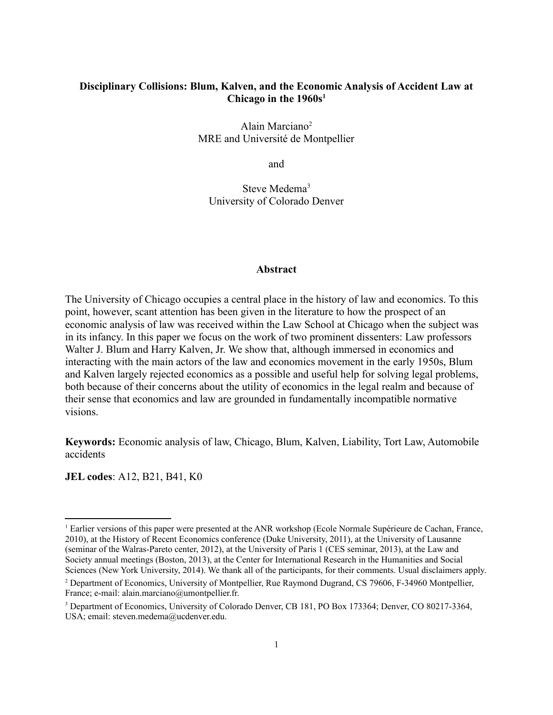#### **Disciplinary Collisions: Blum, Kalven, and the Economic Analysis of Accident Law at Chicago in the 1960s[1](#page-1-0)**

Alain Marciano[2](#page-1-1) MRE and Université de Montpellier

and

Steve Medema<sup>[3](#page-1-2)</sup> University of Colorado Denver

#### **Abstract**

The University of Chicago occupies a central place in the history of law and economics. To this point, however, scant attention has been given in the literature to how the prospect of an economic analysis of law was received within the Law School at Chicago when the subject was in its infancy. In this paper we focus on the work of two prominent dissenters: Law professors Walter J. Blum and Harry Kalven, Jr. We show that, although immersed in economics and interacting with the main actors of the law and economics movement in the early 1950s, Blum and Kalven largely rejected economics as a possible and useful help for solving legal problems, both because of their concerns about the utility of economics in the legal realm and because of their sense that economics and law are grounded in fundamentally incompatible normative visions.

**Keywords:** Economic analysis of law, Chicago, Blum, Kalven, Liability, Tort Law, Automobile accidents

**JEL codes**: A12, B21, B41, K0

<span id="page-1-0"></span><sup>&</sup>lt;sup>1</sup> Earlier versions of this paper were presented at the ANR workshop (Ecole Normale Supérieure de Cachan, France, 2010), at the History of Recent Economics conference (Duke University, 2011), at the University of Lausanne (seminar of the Walras-Pareto center, 2012), at the University of Paris 1 (CES seminar, 2013), at the Law and Society annual meetings (Boston, 2013), at the Center for International Research in the Humanities and Social Sciences (New York University, 2014). We thank all of the participants, for their comments. Usual disclaimers apply.

<span id="page-1-1"></span><sup>&</sup>lt;sup>2</sup> Department of Economics, University of Montpellier, Rue Raymond Dugrand, CS 79606, F-34960 Montpellier, France; e-mail: alain.marciano@umontpellier.fr.

<span id="page-1-2"></span><sup>&</sup>lt;sup>3</sup> Department of Economics, University of Colorado Denver, CB 181, PO Box 173364; Denver, CO 80217-3364, USA; email: steven.medema@ucdenver.edu.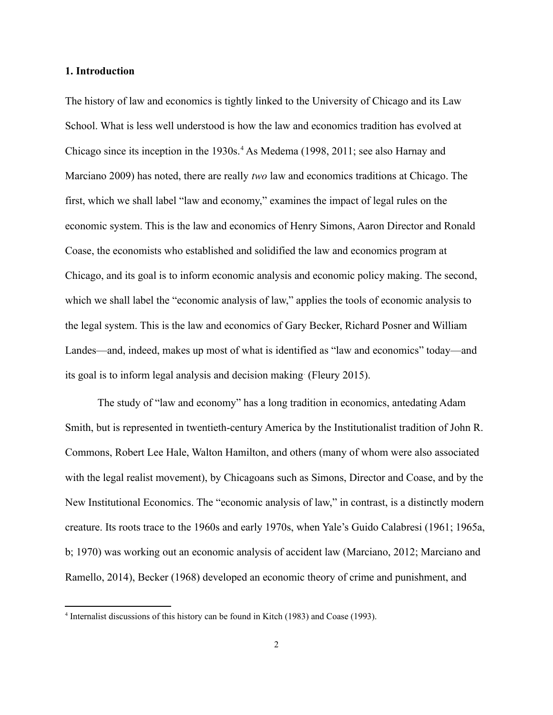#### **1. Introduction**

The history of law and economics is tightly linked to the University of Chicago and its Law School. What is less well understood is how the law and economics tradition has evolved at Chicago since its inception in the 1930s.<sup>[4](#page-2-0)</sup> As Medema (1998, 2011; see also Harnay and Marciano 2009) has noted, there are really *two* law and economics traditions at Chicago. The first, which we shall label "law and economy," examines the impact of legal rules on the economic system. This is the law and economics of Henry Simons, Aaron Director and Ronald Coase, the economists who established and solidified the law and economics program at Chicago, and its goal is to inform economic analysis and economic policy making. The second, which we shall label the "economic analysis of law," applies the tools of economic analysis to the legal system. This is the law and economics of Gary Becker, Richard Posner and William Landes—and, indeed, makes up most of what is identified as "law and economics" today—and its goal is to inform legal analysis and decision making. (Fleury 2015).

The study of "law and economy" has a long tradition in economics, antedating Adam Smith, but is represented in twentieth-century America by the Institutionalist tradition of John R. Commons, Robert Lee Hale, Walton Hamilton, and others (many of whom were also associated with the legal realist movement), by Chicagoans such as Simons, Director and Coase, and by the New Institutional Economics. The "economic analysis of law," in contrast, is a distinctly modern creature. Its roots trace to the 1960s and early 1970s, when Yale's Guido Calabresi (1961; 1965a, b; 1970) was working out an economic analysis of accident law (Marciano, 2012; Marciano and Ramello, 2014), Becker (1968) developed an economic theory of crime and punishment, and

<span id="page-2-0"></span><sup>4</sup> Internalist discussions of this history can be found in Kitch (1983) and Coase (1993).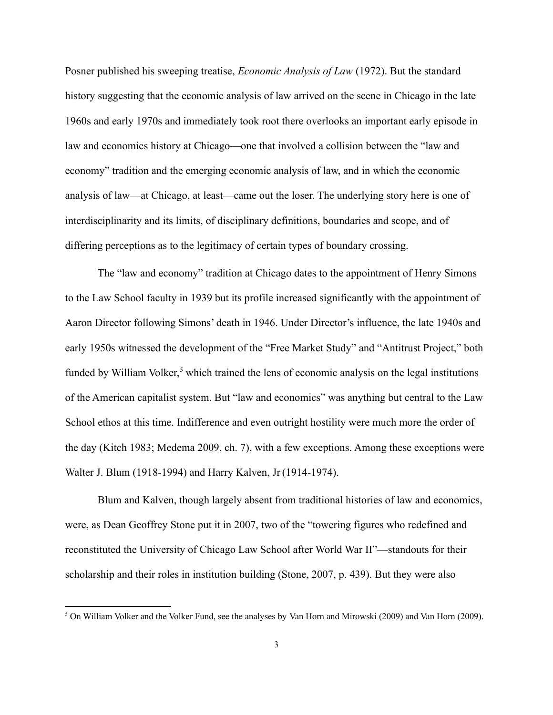Posner published his sweeping treatise, *Economic Analysis of Law* (1972). But the standard history suggesting that the economic analysis of law arrived on the scene in Chicago in the late 1960s and early 1970s and immediately took root there overlooks an important early episode in law and economics history at Chicago—one that involved a collision between the "law and economy" tradition and the emerging economic analysis of law, and in which the economic analysis of law—at Chicago, at least—came out the loser. The underlying story here is one of interdisciplinarity and its limits, of disciplinary definitions, boundaries and scope, and of differing perceptions as to the legitimacy of certain types of boundary crossing.

The "law and economy" tradition at Chicago dates to the appointment of Henry Simons to the Law School faculty in 1939 but its profile increased significantly with the appointment of Aaron Director following Simons' death in 1946. Under Director's influence, the late 1940s and early 1950s witnessed the development of the "Free Market Study" and "Antitrust Project," both funded by William Volker,<sup>[5](#page-3-0)</sup> which trained the lens of economic analysis on the legal institutions of the American capitalist system. But "law and economics" was anything but central to the Law School ethos at this time. Indifference and even outright hostility were much more the order of the day (Kitch 1983; Medema 2009, ch. 7), with a few exceptions. Among these exceptions were Walter J. Blum (1918-1994) and Harry Kalven, Jr(1914-1974).

Blum and Kalven, though largely absent from traditional histories of law and economics, were, as Dean Geoffrey Stone put it in 2007, two of the "towering figures who redefined and reconstituted the University of Chicago Law School after World War II"—standouts for their scholarship and their roles in institution building (Stone, 2007, p. 439). But they were also

<span id="page-3-0"></span><sup>&</sup>lt;sup>5</sup> On William Volker and the Volker Fund, see the analyses by Van Horn and Mirowski (2009) and Van Horn (2009).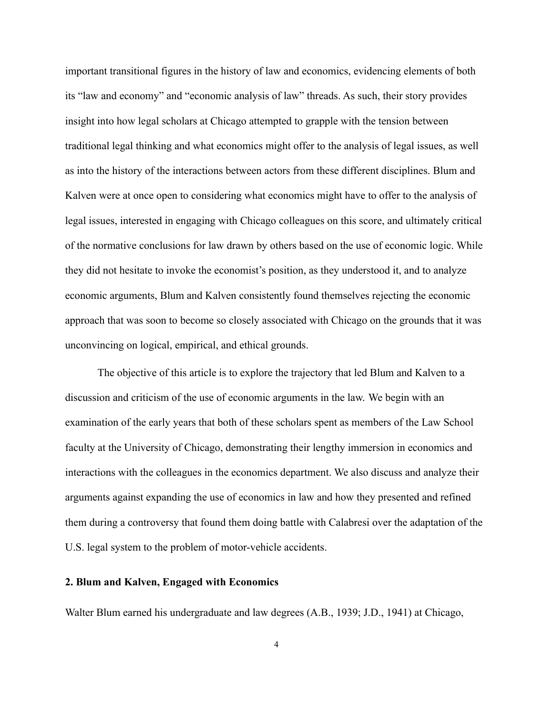important transitional figures in the history of law and economics, evidencing elements of both its "law and economy" and "economic analysis of law" threads. As such, their story provides insight into how legal scholars at Chicago attempted to grapple with the tension between traditional legal thinking and what economics might offer to the analysis of legal issues, as well as into the history of the interactions between actors from these different disciplines. Blum and Kalven were at once open to considering what economics might have to offer to the analysis of legal issues, interested in engaging with Chicago colleagues on this score, and ultimately critical of the normative conclusions for law drawn by others based on the use of economic logic. While they did not hesitate to invoke the economist's position, as they understood it, and to analyze economic arguments, Blum and Kalven consistently found themselves rejecting the economic approach that was soon to become so closely associated with Chicago on the grounds that it was unconvincing on logical, empirical, and ethical grounds.

The objective of this article is to explore the trajectory that led Blum and Kalven to a discussion and criticism of the use of economic arguments in the law. We begin with an examination of the early years that both of these scholars spent as members of the Law School faculty at the University of Chicago, demonstrating their lengthy immersion in economics and interactions with the colleagues in the economics department. We also discuss and analyze their arguments against expanding the use of economics in law and how they presented and refined them during a controversy that found them doing battle with Calabresi over the adaptation of the U.S. legal system to the problem of motor-vehicle accidents.

#### **2. Blum and Kalven, Engaged with Economics**

Walter Blum earned his undergraduate and law degrees (A.B., 1939; J.D., 1941) at Chicago,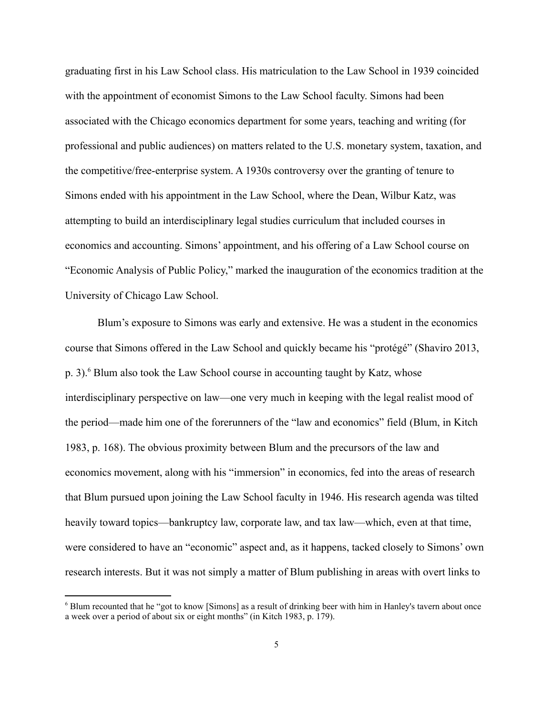graduating first in his Law School class. His matriculation to the Law School in 1939 coincided with the appointment of economist Simons to the Law School faculty. Simons had been associated with the Chicago economics department for some years, teaching and writing (for professional and public audiences) on matters related to the U.S. monetary system, taxation, and the competitive/free-enterprise system. A 1930s controversy over the granting of tenure to Simons ended with his appointment in the Law School, where the Dean, Wilbur Katz, was attempting to build an interdisciplinary legal studies curriculum that included courses in economics and accounting. Simons' appointment, and his offering of a Law School course on "Economic Analysis of Public Policy," marked the inauguration of the economics tradition at the University of Chicago Law School.

Blum's exposure to Simons was early and extensive. He was a student in the economics course that Simons offered in the Law School and quickly became his "protégé" (Shaviro 2013, p. 3).<sup>[6](#page-5-0)</sup> Blum also took the Law School course in accounting taught by Katz, whose interdisciplinary perspective on law—one very much in keeping with the legal realist mood of the period—made him one of the forerunners of the "law and economics" field (Blum, in Kitch 1983, p. 168). The obvious proximity between Blum and the precursors of the law and economics movement, along with his "immersion" in economics, fed into the areas of research that Blum pursued upon joining the Law School faculty in 1946. His research agenda was tilted heavily toward topics—bankruptcy law, corporate law, and tax law—which, even at that time, were considered to have an "economic" aspect and, as it happens, tacked closely to Simons' own research interests. But it was not simply a matter of Blum publishing in areas with overt links to

<span id="page-5-0"></span><sup>&</sup>lt;sup>6</sup> Blum recounted that he "got to know [Simons] as a result of drinking beer with him in Hanley's tavern about once a week over a period of about six or eight months" (in Kitch 1983, p. 179).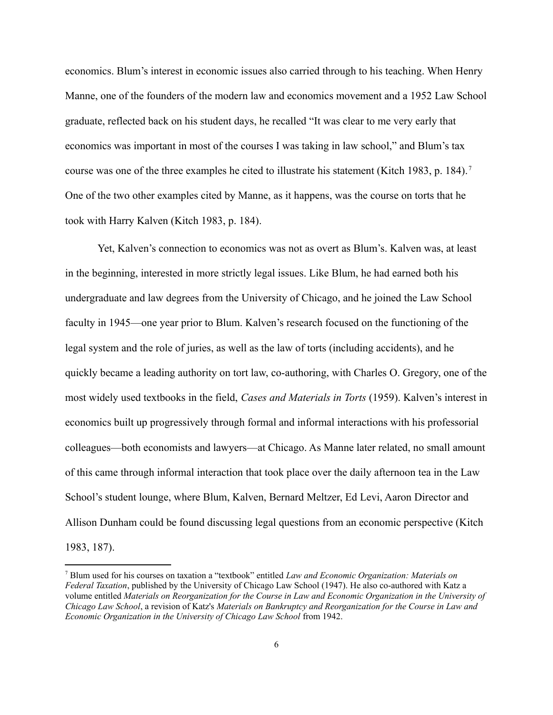economics. Blum's interest in economic issues also carried through to his teaching. When Henry Manne, one of the founders of the modern law and economics movement and a 1952 Law School graduate, reflected back on his student days, he recalled "It was clear to me very early that economics was important in most of the courses I was taking in law school," and Blum's tax course was one of the three examples he cited to illustrate his statement (Kitch 1983, p. 184). [7](#page-6-0) One of the two other examples cited by Manne, as it happens, was the course on torts that he took with Harry Kalven (Kitch 1983, p. 184).

Yet, Kalven's connection to economics was not as overt as Blum's. Kalven was, at least in the beginning, interested in more strictly legal issues. Like Blum, he had earned both his undergraduate and law degrees from the University of Chicago, and he joined the Law School faculty in 1945—one year prior to Blum. Kalven's research focused on the functioning of the legal system and the role of juries, as well as the law of torts (including accidents), and he quickly became a leading authority on tort law, co-authoring, with Charles O. Gregory, one of the most widely used textbooks in the field, *Cases and Materials in Torts* (1959). Kalven's interest in economics built up progressively through formal and informal interactions with his professorial colleagues—both economists and lawyers—at Chicago. As Manne later related, no small amount of this came through informal interaction that took place over the daily afternoon tea in the Law School's student lounge, where Blum, Kalven, Bernard Meltzer, Ed Levi, Aaron Director and Allison Dunham could be found discussing legal questions from an economic perspective (Kitch 1983, 187).

<span id="page-6-0"></span><sup>7</sup> Blum used for his courses on taxation a "textbook" entitled *Law and Economic Organization: Materials on Federal Taxation*, published by the University of Chicago Law School (1947). He also co-authored with Katz a volume entitled *Materials on Reorganization for the Course in Law and Economic Organization in the University of Chicago Law School*, a revision of Katz's *Materials on Bankruptcy and Reorganization for the Course in Law and Economic Organization in the University of Chicago Law School* from 1942.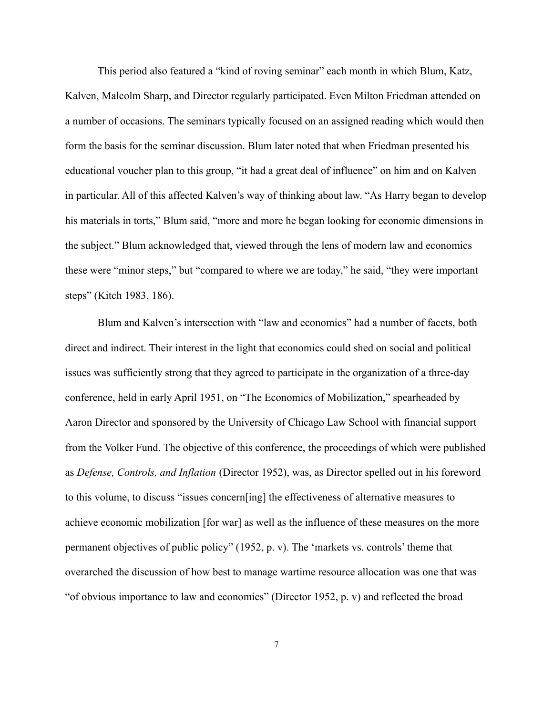This period also featured a "kind of roving seminar" each month in which Blum, Katz, Kalven, Malcolm Sharp, and Director regularly participated. Even Milton Friedman attended on a number of occasions. The seminars typically focused on an assigned reading which would then form the basis for the seminar discussion. Blum later noted that when Friedman presented his educational voucher plan to this group, "it had a great deal of influence" on him and on Kalven in particular. All of this affected Kalven's way of thinking about law. "As Harry began to develop his materials in torts," Blum said, "more and more he began looking for economic dimensions in the subject." Blum acknowledged that, viewed through the lens of modern law and economics these were "minor steps," but "compared to where we are today," he said, "they were important steps" (Kitch 1983, 186).

Blum and Kalven's intersection with "law and economics" had a number of facets, both direct and indirect. Their interest in the light that economics could shed on social and political issues was sufficiently strong that they agreed to participate in the organization of a three-day conference, held in early April 1951, on "The Economics of Mobilization," spearheaded by Aaron Director and sponsored by the University of Chicago Law School with financial support from the Volker Fund. The objective of this conference, the proceedings of which were published as *Defense, Controls, and Inflation* (Director 1952), was, as Director spelled out in his foreword to this volume, to discuss "issues concern[ing] the effectiveness of alternative measures to achieve economic mobilization [for war] as well as the influence of these measures on the more permanent objectives of public policy" (1952, p. v). The 'markets vs. controls' theme that overarched the discussion of how best to manage wartime resource allocation was one that was "of obvious importance to law and economics" (Director 1952, p. v) and reflected the broad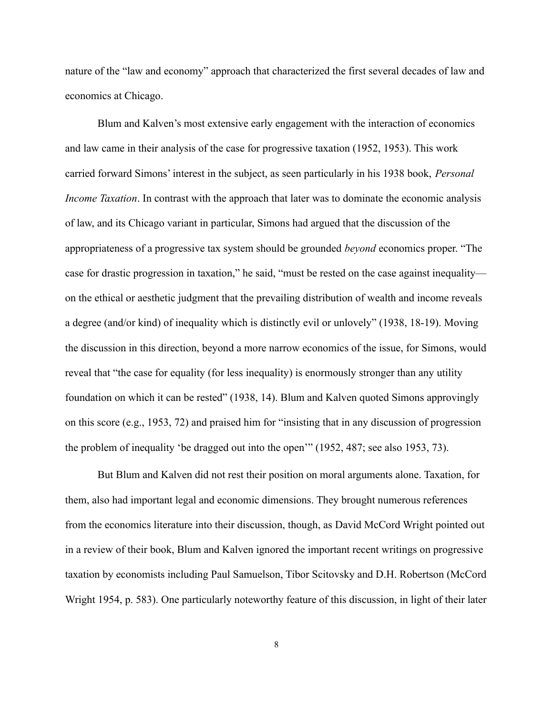nature of the "law and economy" approach that characterized the first several decades of law and economics at Chicago.

Blum and Kalven's most extensive early engagement with the interaction of economics and law came in their analysis of the case for progressive taxation (1952, 1953). This work carried forward Simons' interest in the subject, as seen particularly in his 1938 book, *Personal Income Taxation*. In contrast with the approach that later was to dominate the economic analysis of law, and its Chicago variant in particular, Simons had argued that the discussion of the appropriateness of a progressive tax system should be grounded *beyond* economics proper. "The case for drastic progression in taxation," he said, "must be rested on the case against inequality on the ethical or aesthetic judgment that the prevailing distribution of wealth and income reveals a degree (and/or kind) of inequality which is distinctly evil or unlovely" (1938, 18-19). Moving the discussion in this direction, beyond a more narrow economics of the issue, for Simons, would reveal that "the case for equality (for less inequality) is enormously stronger than any utility foundation on which it can be rested" (1938, 14). Blum and Kalven quoted Simons approvingly on this score (e.g., 1953, 72) and praised him for "insisting that in any discussion of progression the problem of inequality 'be dragged out into the open'" (1952, 487; see also 1953, 73).

But Blum and Kalven did not rest their position on moral arguments alone. Taxation, for them, also had important legal and economic dimensions. They brought numerous references from the economics literature into their discussion, though, as David McCord Wright pointed out in a review of their book, Blum and Kalven ignored the important recent writings on progressive taxation by economists including Paul Samuelson, Tibor Scitovsky and D.H. Robertson (McCord Wright 1954, p. 583). One particularly noteworthy feature of this discussion, in light of their later

8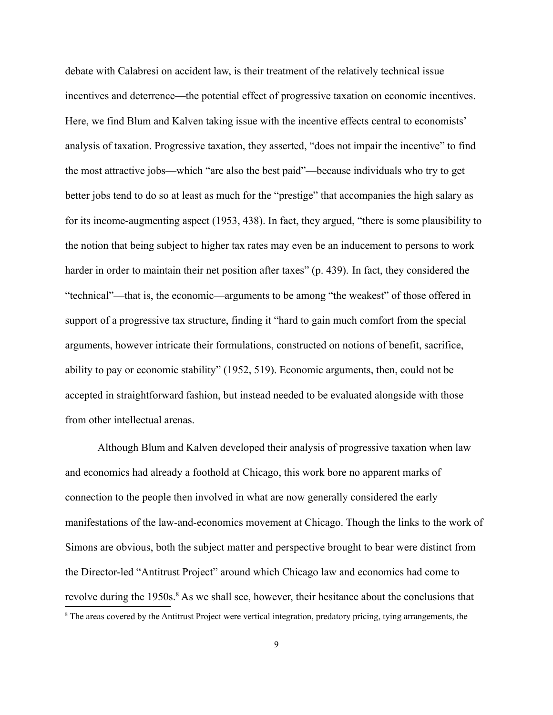debate with Calabresi on accident law, is their treatment of the relatively technical issue incentives and deterrence—the potential effect of progressive taxation on economic incentives. Here, we find Blum and Kalven taking issue with the incentive effects central to economists' analysis of taxation. Progressive taxation, they asserted, "does not impair the incentive" to find the most attractive jobs—which "are also the best paid"—because individuals who try to get better jobs tend to do so at least as much for the "prestige" that accompanies the high salary as for its income-augmenting aspect (1953, 438). In fact, they argued, "there is some plausibility to the notion that being subject to higher tax rates may even be an inducement to persons to work harder in order to maintain their net position after taxes" (p. 439). In fact, they considered the "technical"—that is, the economic—arguments to be among "the weakest" of those offered in support of a progressive tax structure, finding it "hard to gain much comfort from the special arguments, however intricate their formulations, constructed on notions of benefit, sacrifice, ability to pay or economic stability" (1952, 519). Economic arguments, then, could not be accepted in straightforward fashion, but instead needed to be evaluated alongside with those from other intellectual arenas.

Although Blum and Kalven developed their analysis of progressive taxation when law and economics had already a foothold at Chicago, this work bore no apparent marks of connection to the people then involved in what are now generally considered the early manifestations of the law-and-economics movement at Chicago. Though the links to the work of Simons are obvious, both the subject matter and perspective brought to bear were distinct from the Director-led "Antitrust Project" around which Chicago law and economics had come to revolve during the 1950s.<sup>[8](#page-9-0)</sup> As we shall see, however, their hesitance about the conclusions that

<span id="page-9-0"></span><sup>&</sup>lt;sup>8</sup> The areas covered by the Antitrust Project were vertical integration, predatory pricing, tying arrangements, the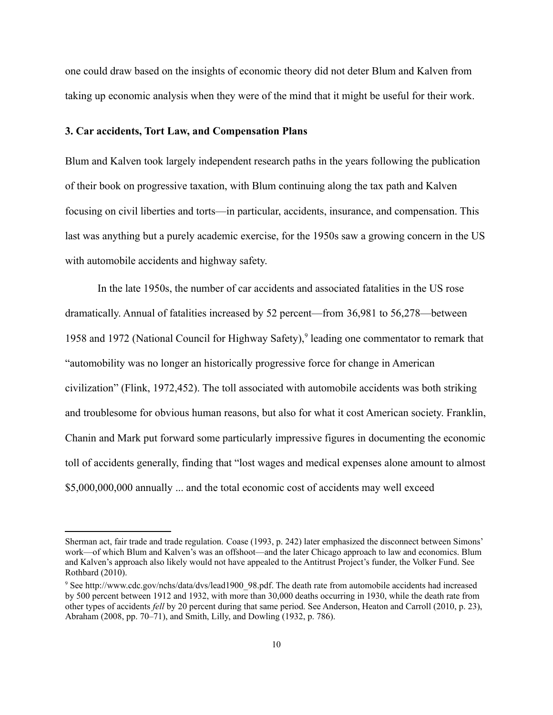one could draw based on the insights of economic theory did not deter Blum and Kalven from taking up economic analysis when they were of the mind that it might be useful for their work.

#### **3. Car accidents, Tort Law, and Compensation Plans**

Blum and Kalven took largely independent research paths in the years following the publication of their book on progressive taxation, with Blum continuing along the tax path and Kalven focusing on civil liberties and torts—in particular, accidents, insurance, and compensation. This last was anything but a purely academic exercise, for the 1950s saw a growing concern in the US with automobile accidents and highway safety.

In the late 1950s, the number of car accidents and associated fatalities in the US rose dramatically. Annual of fatalities increased by 52 percent—from 36,981 to 56,278—between 1[9](#page-10-0)58 and 1972 (National Council for Highway Safety),<sup>9</sup> leading one commentator to remark that "automobility was no longer an historically progressive force for change in American civilization" (Flink, 1972,452). The toll associated with automobile accidents was both striking and troublesome for obvious human reasons, but also for what it cost American society. Franklin, Chanin and Mark put forward some particularly impressive figures in documenting the economic toll of accidents generally, finding that "lost wages and medical expenses alone amount to almost \$5,000,000,000 annually ... and the total economic cost of accidents may well exceed

Sherman act, fair trade and trade regulation. Coase (1993, p. 242) later emphasized the disconnect between Simons' work—of which Blum and Kalven's was an offshoot—and the later Chicago approach to law and economics. Blum and Kalven's approach also likely would not have appealed to the Antitrust Project's funder, the Volker Fund. See Rothbard (2010).

<span id="page-10-0"></span><sup>9</sup> See [http://www.cdc.gov/nchs/data/dvs/lead1900\\_98.pdf.](http://www.cdc.gov/nchs/data/dvs/lead1900_98.pdf) The death rate from automobile accidents had increased by 500 percent between 1912 and 1932, with more than 30,000 deaths occurring in 1930, while the death rate from other types of accidents *fell* by 20 percent during that same period. See Anderson, Heaton and Carroll (2010, p. 23), Abraham (2008, pp. 70–71), and Smith, Lilly, and Dowling (1932, p. 786).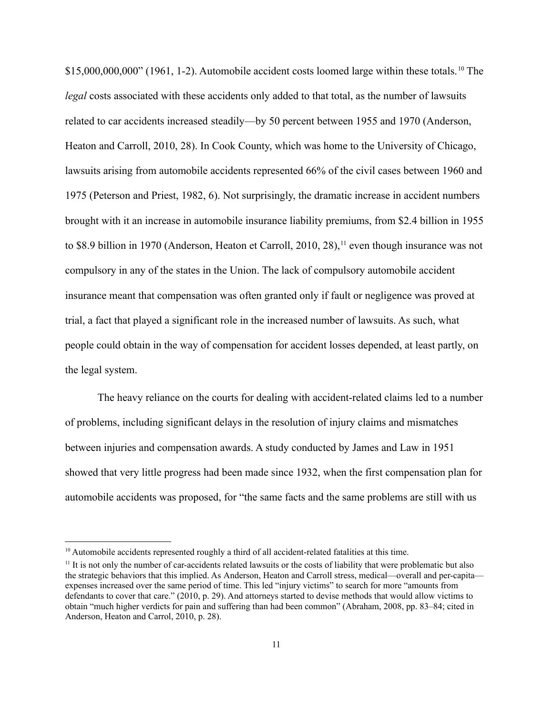\$15,000,000,000" (1961, 1-2). Automobile accident costs loomed large within these totals.<sup>[10](#page-11-0)</sup> The *legal* costs associated with these accidents only added to that total, as the number of lawsuits related to car accidents increased steadily—by 50 percent between 1955 and 1970 (Anderson, Heaton and Carroll, 2010, 28). In Cook County, which was home to the University of Chicago, lawsuits arising from automobile accidents represented 66% of the civil cases between 1960 and 1975 (Peterson and Priest, 1982, 6). Not surprisingly, the dramatic increase in accident numbers brought with it an increase in automobile insurance liability premiums, from \$2.4 billion in 1955 to \$8.9 billion in 1970 (Anderson, Heaton et Carroll, 2010, 28),<sup>[11](#page-11-1)</sup> even though insurance was not compulsory in any of the states in the Union. The lack of compulsory automobile accident insurance meant that compensation was often granted only if fault or negligence was proved at trial, a fact that played a significant role in the increased number of lawsuits. As such, what people could obtain in the way of compensation for accident losses depended, at least partly, on the legal system.

The heavy reliance on the courts for dealing with accident-related claims led to a number of problems, including significant delays in the resolution of injury claims and mismatches between injuries and compensation awards. A study conducted by James and Law in 1951 showed that very little progress had been made since 1932, when the first compensation plan for automobile accidents was proposed, for "the same facts and the same problems are still with us

<span id="page-11-0"></span><sup>&</sup>lt;sup>10</sup> Automobile accidents represented roughly a third of all accident-related fatalities at this time.

<span id="page-11-1"></span> $11$  It is not only the number of car-accidents related lawsuits or the costs of liability that were problematic but also the strategic behaviors that this implied. As Anderson, Heaton and Carroll stress, medical—overall and per-capita expenses increased over the same period of time. This led "injury victims" to search for more "amounts from defendants to cover that care." (2010, p. 29). And attorneys started to devise methods that would allow victims to obtain "much higher verdicts for pain and suffering than had been common" (Abraham, 2008, pp. 83–84; cited in Anderson, Heaton and Carrol, 2010, p. 28).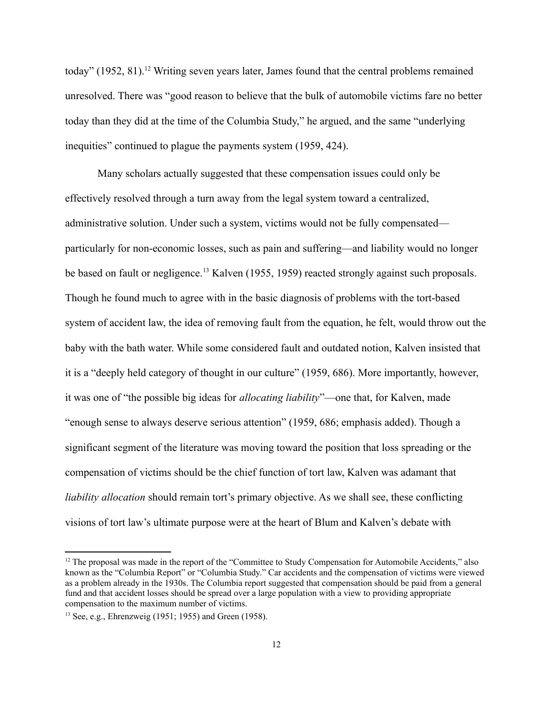today" (1952, 81).<sup>[12](#page-12-0)</sup> Writing seven years later, James found that the central problems remained unresolved. There was "good reason to believe that the bulk of automobile victims fare no better today than they did at the time of the Columbia Study," he argued, and the same "underlying inequities" continued to plague the payments system (1959, 424).

Many scholars actually suggested that these compensation issues could only be effectively resolved through a turn away from the legal system toward a centralized, administrative solution. Under such a system, victims would not be fully compensated particularly for non-economic losses, such as pain and suffering—and liability would no longer be based on fault or negligence.<sup>[13](#page-12-1)</sup> Kalven (1955, 1959) reacted strongly against such proposals. Though he found much to agree with in the basic diagnosis of problems with the tort-based system of accident law, the idea of removing fault from the equation, he felt, would throw out the baby with the bath water. While some considered fault and outdated notion, Kalven insisted that it is a "deeply held category of thought in our culture" (1959, 686). More importantly, however, it was one of "the possible big ideas for *allocating liability*"—one that, for Kalven, made "enough sense to always deserve serious attention" (1959, 686; emphasis added). Though a significant segment of the literature was moving toward the position that loss spreading or the compensation of victims should be the chief function of tort law, Kalven was adamant that *liability allocation* should remain tort's primary objective. As we shall see, these conflicting visions of tort law's ultimate purpose were at the heart of Blum and Kalven's debate with

<span id="page-12-0"></span><sup>&</sup>lt;sup>12</sup> The proposal was made in the report of the "Committee to Study Compensation for Automobile Accidents," also known as the "Columbia Report" or "Columbia Study." Car accidents and the compensation of victims were viewed as a problem already in the 1930s. The Columbia report suggested that compensation should be paid from a general fund and that accident losses should be spread over a large population with a view to providing appropriate compensation to the maximum number of victims.

<span id="page-12-1"></span><sup>13</sup> See, e.g., Ehrenzweig (1951; 1955) and Green (1958).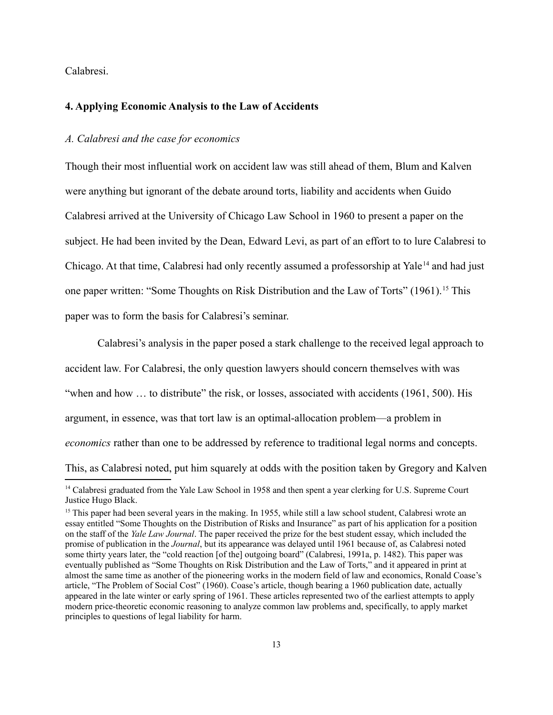Calabresi.

#### **4. Applying Economic Analysis to the Law of Accidents**

#### *A. Calabresi and the case for economics*

Though their most influential work on accident law was still ahead of them, Blum and Kalven were anything but ignorant of the debate around torts, liability and accidents when Guido Calabresi arrived at the University of Chicago Law School in 1960 to present a paper on the subject. He had been invited by the Dean, Edward Levi, as part of an effort to to lure Calabresi to Chicago. At that time, Calabresi had only recently assumed a professorship at Yale<sup>[14](#page-13-0)</sup> and had just one paper written: "Some Thoughts on Risk Distribution and the Law of Torts" (1961).<sup>[15](#page-13-1)</sup> This paper was to form the basis for Calabresi's seminar.

Calabresi's analysis in the paper posed a stark challenge to the received legal approach to accident law. For Calabresi, the only question lawyers should concern themselves with was "when and how  $\ldots$  to distribute" the risk, or losses, associated with accidents (1961, 500). His argument, in essence, was that tort law is an optimal-allocation problem—a problem in *economics* rather than one to be addressed by reference to traditional legal norms and concepts. This, as Calabresi noted, put him squarely at odds with the position taken by Gregory and Kalven

<span id="page-13-0"></span><sup>&</sup>lt;sup>14</sup> Calabresi graduated from the Yale Law School in 1958 and then spent a year clerking for U.S. Supreme Court Justice Hugo Black.

<span id="page-13-1"></span><sup>&</sup>lt;sup>15</sup> This paper had been several years in the making. In 1955, while still a law school student, Calabresi wrote an essay entitled "Some Thoughts on the Distribution of Risks and Insurance" as part of his application for a position on the staff of the *Yale Law Journal*. The paper received the prize for the best student essay, which included the promise of publication in the *Journal*, but its appearance was delayed until 1961 because of, as Calabresi noted some thirty years later, the "cold reaction [of the] outgoing board" (Calabresi, 1991a, p. 1482). This paper was eventually published as "Some Thoughts on Risk Distribution and the Law of Torts," and it appeared in print at almost the same time as another of the pioneering works in the modern field of law and economics, Ronald Coase's article, "The Problem of Social Cost" (1960). Coase's article, though bearing a 1960 publication date, actually appeared in the late winter or early spring of 1961. These articles represented two of the earliest attempts to apply modern price-theoretic economic reasoning to analyze common law problems and, specifically, to apply market principles to questions of legal liability for harm.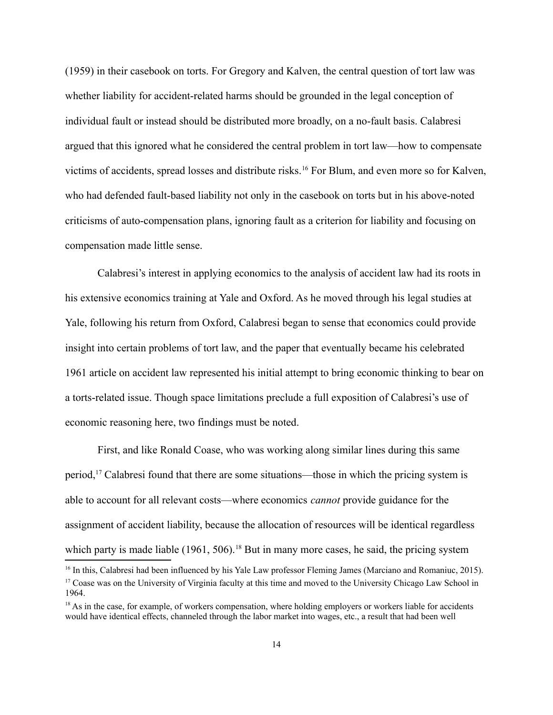(1959) in their casebook on torts. For Gregory and Kalven, the central question of tort law was whether liability for accident-related harms should be grounded in the legal conception of individual fault or instead should be distributed more broadly, on a no-fault basis. Calabresi argued that this ignored what he considered the central problem in tort law—how to compensate victims of accidents, spread losses and distribute risks.<sup>[16](#page-14-0)</sup> For Blum, and even more so for Kalven, who had defended fault-based liability not only in the casebook on torts but in his above-noted criticisms of auto-compensation plans, ignoring fault as a criterion for liability and focusing on compensation made little sense.

Calabresi's interest in applying economics to the analysis of accident law had its roots in his extensive economics training at Yale and Oxford. As he moved through his legal studies at Yale, following his return from Oxford, Calabresi began to sense that economics could provide insight into certain problems of tort law, and the paper that eventually became his celebrated 1961 article on accident law represented his initial attempt to bring economic thinking to bear on a torts-related issue. Though space limitations preclude a full exposition of Calabresi's use of economic reasoning here, two findings must be noted.

First, and like Ronald Coase, who was working along similar lines during this same period,<sup>[17](#page-14-1)</sup> Calabresi found that there are some situations—those in which the pricing system is able to account for all relevant costs—where economics *cannot* provide guidance for the assignment of accident liability, because the allocation of resources will be identical regardless which party is made liable  $(1961, 506)$ .<sup>[18](#page-14-2)</sup> But in many more cases, he said, the pricing system

<span id="page-14-1"></span><span id="page-14-0"></span><sup>&</sup>lt;sup>16</sup> In this, Calabresi had been influenced by his Yale Law professor Fleming James (Marciano and Romaniuc, 2015). <sup>17</sup> Coase was on the University of Virginia faculty at this time and moved to the University Chicago Law School in 1964.

<span id="page-14-2"></span><sup>&</sup>lt;sup>18</sup> As in the case, for example, of workers compensation, where holding employers or workers liable for accidents would have identical effects, channeled through the labor market into wages, etc., a result that had been well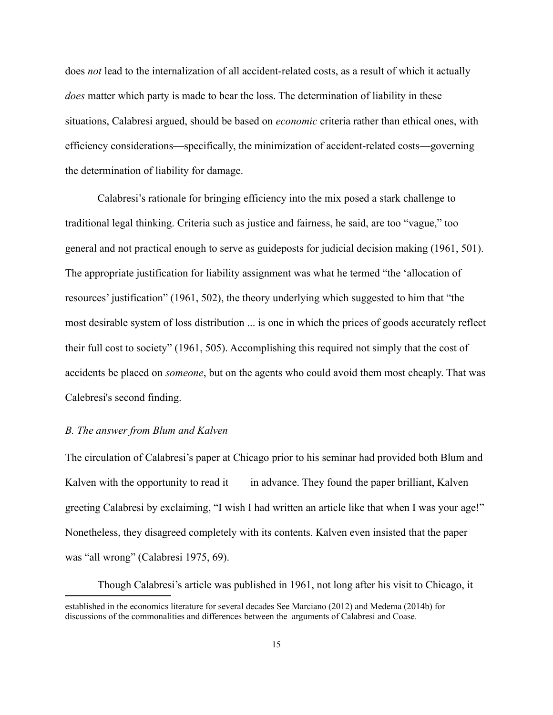does *not* lead to the internalization of all accident-related costs, as a result of which it actually *does* matter which party is made to bear the loss. The determination of liability in these situations, Calabresi argued, should be based on *economic* criteria rather than ethical ones, with efficiency considerations—specifically, the minimization of accident-related costs—governing the determination of liability for damage.

Calabresi's rationale for bringing efficiency into the mix posed a stark challenge to traditional legal thinking. Criteria such as justice and fairness, he said, are too "vague," too general and not practical enough to serve as guideposts for judicial decision making (1961, 501). The appropriate justification for liability assignment was what he termed "the 'allocation of resources' justification" (1961, 502), the theory underlying which suggested to him that "the most desirable system of loss distribution ... is one in which the prices of goods accurately reflect their full cost to society" (1961, 505). Accomplishing this required not simply that the cost of accidents be placed on *someone*, but on the agents who could avoid them most cheaply. That was Calebresi's second finding.

#### *B. The answer from Blum and Kalven*

The circulation of Calabresi's paper at Chicago prior to his seminar had provided both Blum and Kalven with the opportunity to read it in advance. They found the paper brilliant, Kalven greeting Calabresi by exclaiming, "I wish I had written an article like that when I was your age!" Nonetheless, they disagreed completely with its contents. Kalven even insisted that the paper was "all wrong" (Calabresi 1975, 69).

Though Calabresi's article was published in 1961, not long after his visit to Chicago, it established in the economics literature for several decades See Marciano (2012) and Medema (2014b) for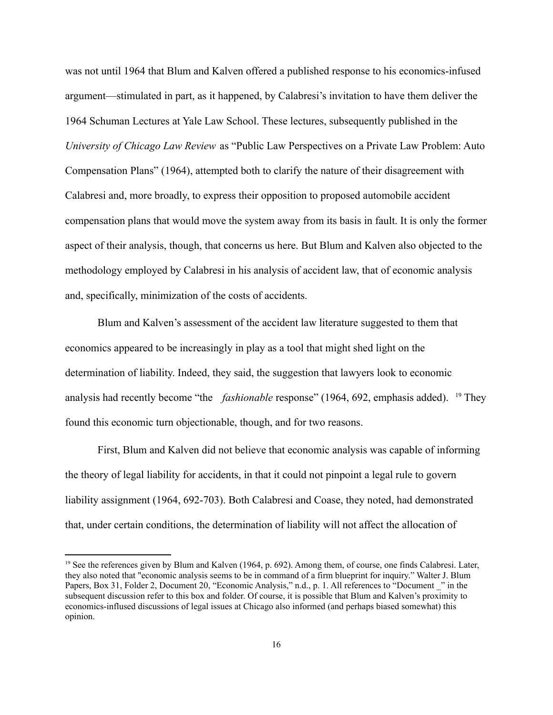was not until 1964 that Blum and Kalven offered a published response to his economics-infused argument—stimulated in part, as it happened, by Calabresi's invitation to have them deliver the 1964 Schuman Lectures at Yale Law School. These lectures, subsequently published in the *University of Chicago Law Review* as "Public Law Perspectives on a Private Law Problem: Auto Compensation Plans" (1964), attempted both to clarify the nature of their disagreement with Calabresi and, more broadly, to express their opposition to proposed automobile accident compensation plans that would move the system away from its basis in fault. It is only the former aspect of their analysis, though, that concerns us here. But Blum and Kalven also objected to the methodology employed by Calabresi in his analysis of accident law, that of economic analysis and, specifically, minimization of the costs of accidents.

Blum and Kalven's assessment of the accident law literature suggested to them that economics appeared to be increasingly in play as a tool that might shed light on the determination of liability. Indeed, they said, the suggestion that lawyers look to economic analysis had recently become "the *fashionable* response" ([19](#page-16-0)64, 692, emphasis added). <sup>19</sup> They found this economic turn objectionable, though, and for two reasons.

First, Blum and Kalven did not believe that economic analysis was capable of informing the theory of legal liability for accidents, in that it could not pinpoint a legal rule to govern liability assignment (1964, 692-703). Both Calabresi and Coase, they noted, had demonstrated that, under certain conditions, the determination of liability will not affect the allocation of

<span id="page-16-0"></span><sup>&</sup>lt;sup>19</sup> See the references given by Blum and Kalven (1964, p. 692). Among them, of course, one finds Calabresi. Later, they also noted that "economic analysis seems to be in command of a firm blueprint for inquiry." Walter J. Blum Papers, Box 31, Folder 2, Document 20, "Economic Analysis," n.d., p. 1. All references to "Document" in the subsequent discussion refer to this box and folder. Of course, it is possible that Blum and Kalven's proximity to economics-inflused discussions of legal issues at Chicago also informed (and perhaps biased somewhat) this opinion.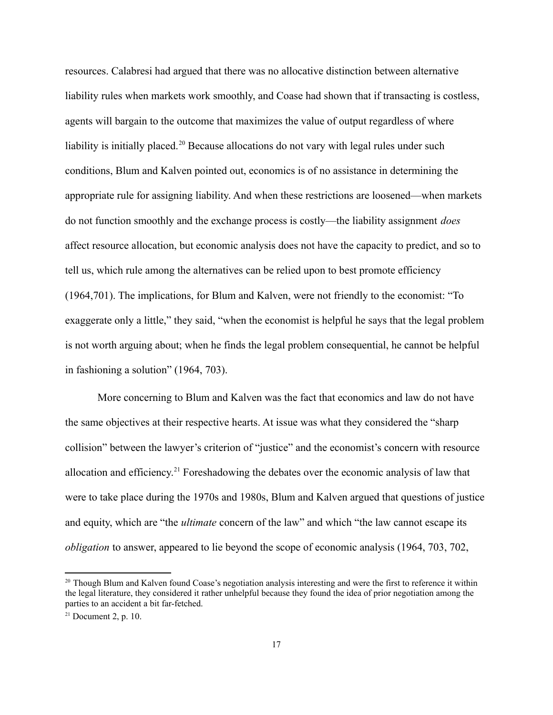resources. Calabresi had argued that there was no allocative distinction between alternative liability rules when markets work smoothly, and Coase had shown that if transacting is costless, agents will bargain to the outcome that maximizes the value of output regardless of where liability is initially placed.<sup>[20](#page-17-0)</sup> Because allocations do not vary with legal rules under such conditions, Blum and Kalven pointed out, economics is of no assistance in determining the appropriate rule for assigning liability. And when these restrictions are loosened—when markets do not function smoothly and the exchange process is costly—the liability assignment *does* affect resource allocation, but economic analysis does not have the capacity to predict, and so to tell us, which rule among the alternatives can be relied upon to best promote efficiency (1964,701). The implications, for Blum and Kalven, were not friendly to the economist: "To exaggerate only a little," they said, "when the economist is helpful he says that the legal problem is not worth arguing about; when he finds the legal problem consequential, he cannot be helpful in fashioning a solution" (1964, 703).

More concerning to Blum and Kalven was the fact that economics and law do not have the same objectives at their respective hearts. At issue was what they considered the "sharp collision" between the lawyer's criterion of "justice" and the economist's concern with resource allocation and efficiency.[21](#page-17-1) Foreshadowing the debates over the economic analysis of law that were to take place during the 1970s and 1980s, Blum and Kalven argued that questions of justice and equity, which are "the *ultimate* concern of the law" and which "the law cannot escape its *obligation* to answer, appeared to lie beyond the scope of economic analysis (1964, 703, 702,

<span id="page-17-0"></span><sup>&</sup>lt;sup>20</sup> Though Blum and Kalven found Coase's negotiation analysis interesting and were the first to reference it within the legal literature, they considered it rather unhelpful because they found the idea of prior negotiation among the parties to an accident a bit far-fetched.

<span id="page-17-1"></span> $21$  Document 2, p. 10.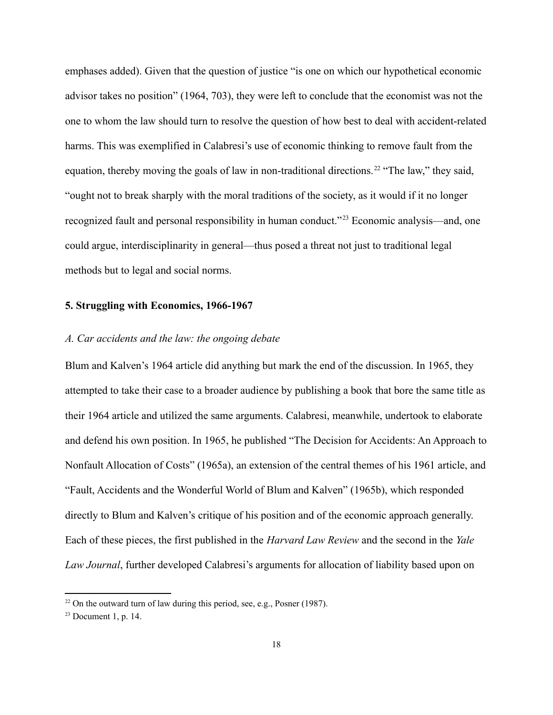emphases added). Given that the question of justice "is one on which our hypothetical economic advisor takes no position" (1964, 703), they were left to conclude that the economist was not the one to whom the law should turn to resolve the question of how best to deal with accident-related harms. This was exemplified in Calabresi's use of economic thinking to remove fault from the equation, thereby moving the goals of law in non-traditional directions.<sup>[22](#page-18-0)</sup> "The law," they said, "ought not to break sharply with the moral traditions of the society, as it would if it no longer recognized fault and personal responsibility in human conduct."[23](#page-18-1) Economic analysis—and, one could argue, interdisciplinarity in general—thus posed a threat not just to traditional legal methods but to legal and social norms.

#### **5. Struggling with Economics, 1966-1967**

#### *A. Car accidents and the law: the ongoing debate*

Blum and Kalven's 1964 article did anything but mark the end of the discussion. In 1965, they attempted to take their case to a broader audience by publishing a book that bore the same title as their 1964 article and utilized the same arguments. Calabresi, meanwhile, undertook to elaborate and defend his own position. In 1965, he published "The Decision for Accidents: An Approach to Nonfault Allocation of Costs" (1965a), an extension of the central themes of his 1961 article, and "Fault, Accidents and the Wonderful World of Blum and Kalven" (1965b), which responded directly to Blum and Kalven's critique of his position and of the economic approach generally. Each of these pieces, the first published in the *Harvard Law Review* and the second in the *Yale Law Journal*, further developed Calabresi's arguments for allocation of liability based upon on

<span id="page-18-0"></span> $22$  On the outward turn of law during this period, see, e.g., Posner (1987).

<span id="page-18-1"></span> $23$  Document 1, p. 14.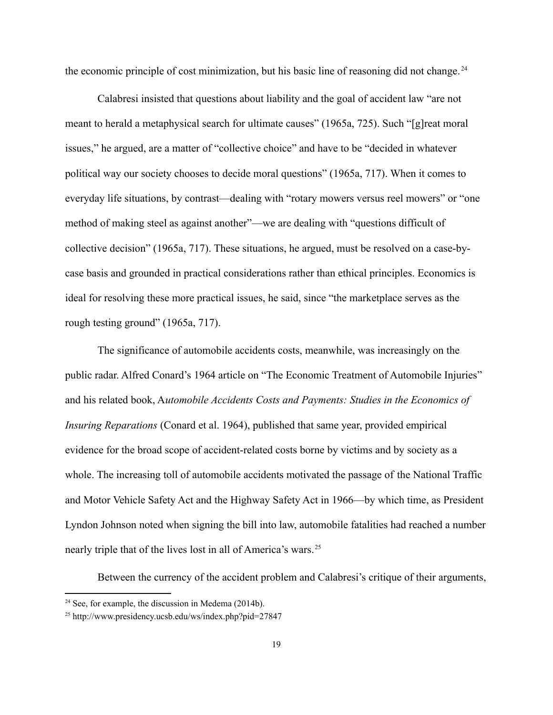the economic principle of cost minimization, but his basic line of reasoning did not change. [24](#page-19-0)

Calabresi insisted that questions about liability and the goal of accident law "are not meant to herald a metaphysical search for ultimate causes" (1965a, 725). Such "[g]reat moral issues," he argued, are a matter of "collective choice" and have to be "decided in whatever political way our society chooses to decide moral questions" (1965a, 717). When it comes to everyday life situations, by contrast—dealing with "rotary mowers versus reel mowers" or "one method of making steel as against another"—we are dealing with "questions difficult of collective decision" (1965a, 717). These situations, he argued, must be resolved on a case-bycase basis and grounded in practical considerations rather than ethical principles. Economics is ideal for resolving these more practical issues, he said, since "the marketplace serves as the rough testing ground" (1965a, 717).

The significance of automobile accidents costs, meanwhile, was increasingly on the public radar. Alfred Conard's 1964 article on "The Economic Treatment of Automobile Injuries" and his related book, A*utomobile Accidents Costs and Payments: Studies in the Economics of Insuring Reparations* (Conard et al. 1964), published that same year, provided empirical evidence for the broad scope of accident-related costs borne by victims and by society as a whole. The increasing toll of automobile accidents motivated the passage of the National Traffic and Motor Vehicle Safety Act and the Highway Safety Act in 1966—by which time, as President Lyndon Johnson noted when signing the bill into law, automobile fatalities had reached a number nearly triple that of the lives lost in all of America's wars.<sup>[25](#page-19-1)</sup>

Between the currency of the accident problem and Calabresi's critique of their arguments,

<span id="page-19-0"></span> $24$  See, for example, the discussion in Medema (2014b).

<span id="page-19-1"></span><sup>25</sup> <http://www.presidency.ucsb.edu/ws/index.php?pid=27847>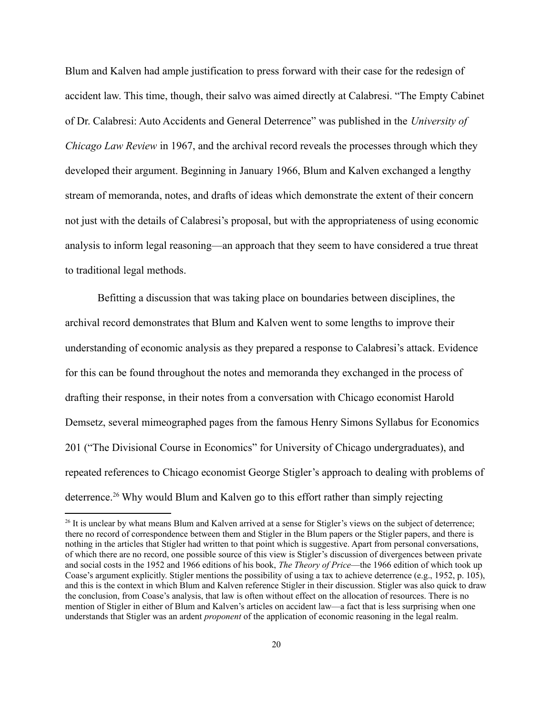Blum and Kalven had ample justification to press forward with their case for the redesign of accident law. This time, though, their salvo was aimed directly at Calabresi. "The Empty Cabinet of Dr. Calabresi: Auto Accidents and General Deterrence" was published in the *University of Chicago Law Review* in 1967, and the archival record reveals the processes through which they developed their argument. Beginning in January 1966, Blum and Kalven exchanged a lengthy stream of memoranda, notes, and drafts of ideas which demonstrate the extent of their concern not just with the details of Calabresi's proposal, but with the appropriateness of using economic analysis to inform legal reasoning—an approach that they seem to have considered a true threat to traditional legal methods.

Befitting a discussion that was taking place on boundaries between disciplines, the archival record demonstrates that Blum and Kalven went to some lengths to improve their understanding of economic analysis as they prepared a response to Calabresi's attack. Evidence for this can be found throughout the notes and memoranda they exchanged in the process of drafting their response, in their notes from a conversation with Chicago economist Harold Demsetz, several mimeographed pages from the famous Henry Simons Syllabus for Economics 201 ("The Divisional Course in Economics" for University of Chicago undergraduates), and repeated references to Chicago economist George Stigler's approach to dealing with problems of deterrence.<sup>[26](#page-20-0)</sup> Why would Blum and Kalven go to this effort rather than simply rejecting

<span id="page-20-0"></span><sup>&</sup>lt;sup>26</sup> It is unclear by what means Blum and Kalven arrived at a sense for Stigler's views on the subject of deterrence; there no record of correspondence between them and Stigler in the Blum papers or the Stigler papers, and there is nothing in the articles that Stigler had written to that point which is suggestive. Apart from personal conversations, of which there are no record, one possible source of this view is Stigler's discussion of divergences between private and social costs in the 1952 and 1966 editions of his book, *The Theory of Price*—the 1966 edition of which took up Coase's argument explicitly. Stigler mentions the possibility of using a tax to achieve deterrence (e.g., 1952, p. 105), and this is the context in which Blum and Kalven reference Stigler in their discussion. Stigler was also quick to draw the conclusion, from Coase's analysis, that law is often without effect on the allocation of resources. There is no mention of Stigler in either of Blum and Kalven's articles on accident law—a fact that is less surprising when one understands that Stigler was an ardent *proponent* of the application of economic reasoning in the legal realm.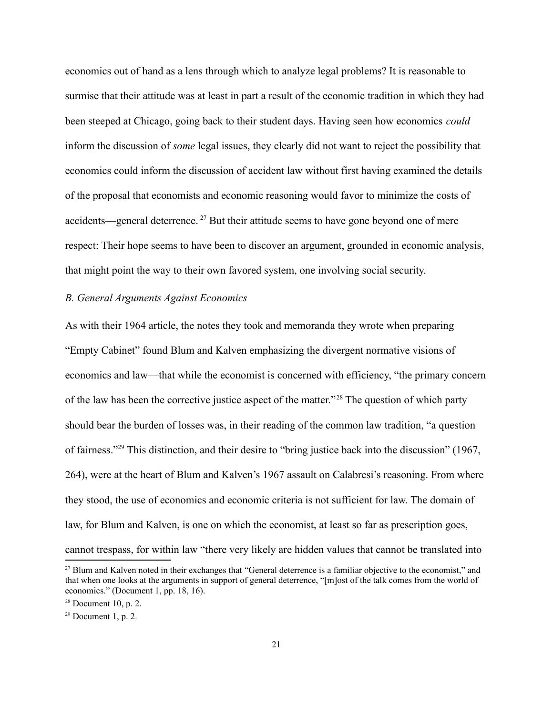economics out of hand as a lens through which to analyze legal problems? It is reasonable to surmise that their attitude was at least in part a result of the economic tradition in which they had been steeped at Chicago, going back to their student days. Having seen how economics *could* inform the discussion of *some* legal issues, they clearly did not want to reject the possibility that economics could inform the discussion of accident law without first having examined the details of the proposal that economists and economic reasoning would favor to minimize the costs of accidents—general deterrence.<sup>[27](#page-21-0)</sup> But their attitude seems to have gone beyond one of mere respect: Their hope seems to have been to discover an argument, grounded in economic analysis, that might point the way to their own favored system, one involving social security.

#### *B. General Arguments Against Economics*

As with their 1964 article, the notes they took and memoranda they wrote when preparing "Empty Cabinet" found Blum and Kalven emphasizing the divergent normative visions of economics and law—that while the economist is concerned with efficiency, "the primary concern of the law has been the corrective justice aspect of the matter."[28](#page-21-1) The question of which party should bear the burden of losses was, in their reading of the common law tradition, "a question of fairness."[29](#page-21-2) This distinction, and their desire to "bring justice back into the discussion" (1967, 264), were at the heart of Blum and Kalven's 1967 assault on Calabresi's reasoning. From where they stood, the use of economics and economic criteria is not sufficient for law. The domain of law, for Blum and Kalven, is one on which the economist, at least so far as prescription goes, cannot trespass, for within law "there very likely are hidden values that cannot be translated into

<span id="page-21-0"></span><sup>&</sup>lt;sup>27</sup> Blum and Kalven noted in their exchanges that "General deterrence is a familiar objective to the economist," and that when one looks at the arguments in support of general deterrence, "[m]ost of the talk comes from the world of economics." (Document 1, pp. 18, 16).

<span id="page-21-1"></span> $28$  Document 10, p. 2.

<span id="page-21-2"></span> $29$  Document 1, p. 2.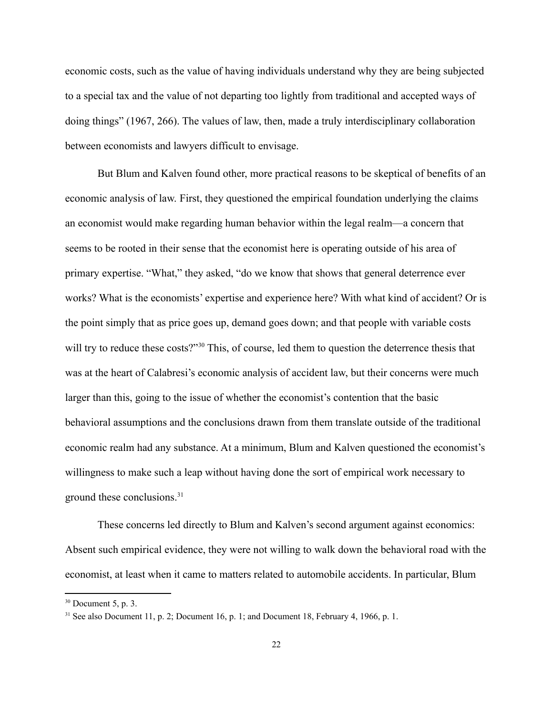economic costs, such as the value of having individuals understand why they are being subjected to a special tax and the value of not departing too lightly from traditional and accepted ways of doing things" (1967, 266). The values of law, then, made a truly interdisciplinary collaboration between economists and lawyers difficult to envisage.

But Blum and Kalven found other, more practical reasons to be skeptical of benefits of an economic analysis of law. First, they questioned the empirical foundation underlying the claims an economist would make regarding human behavior within the legal realm—a concern that seems to be rooted in their sense that the economist here is operating outside of his area of primary expertise. "What," they asked, "do we know that shows that general deterrence ever works? What is the economists' expertise and experience here? With what kind of accident? Or is the point simply that as price goes up, demand goes down; and that people with variable costs will try to reduce these costs?"<sup>[30](#page-22-0)</sup> This, of course, led them to question the deterrence thesis that was at the heart of Calabresi's economic analysis of accident law, but their concerns were much larger than this, going to the issue of whether the economist's contention that the basic behavioral assumptions and the conclusions drawn from them translate outside of the traditional economic realm had any substance. At a minimum, Blum and Kalven questioned the economist's willingness to make such a leap without having done the sort of empirical work necessary to ground these conclusions.<sup>[31](#page-22-1)</sup>

These concerns led directly to Blum and Kalven's second argument against economics: Absent such empirical evidence, they were not willing to walk down the behavioral road with the economist, at least when it came to matters related to automobile accidents. In particular, Blum

<span id="page-22-0"></span> $30$  Document 5, p. 3.

<span id="page-22-1"></span><sup>&</sup>lt;sup>31</sup> See also Document 11, p. 2; Document 16, p. 1; and Document 18, February 4, 1966, p. 1.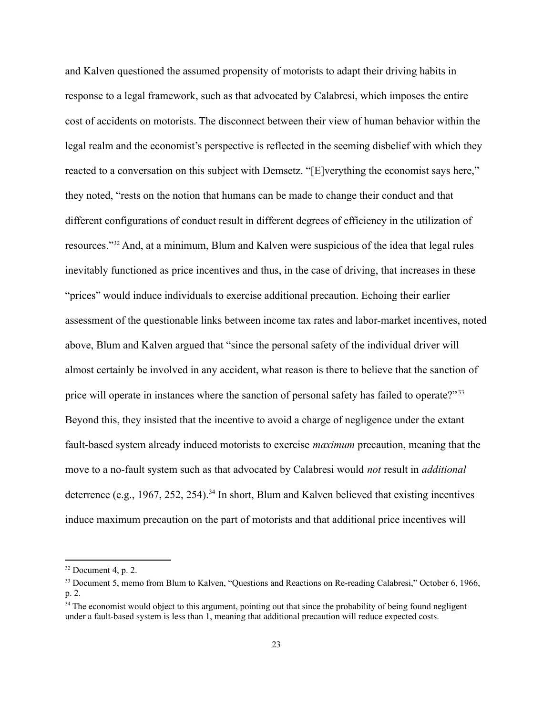and Kalven questioned the assumed propensity of motorists to adapt their driving habits in response to a legal framework, such as that advocated by Calabresi, which imposes the entire cost of accidents on motorists. The disconnect between their view of human behavior within the legal realm and the economist's perspective is reflected in the seeming disbelief with which they reacted to a conversation on this subject with Demsetz. "[E]verything the economist says here," they noted, "rests on the notion that humans can be made to change their conduct and that different configurations of conduct result in different degrees of efficiency in the utilization of resources."[32](#page-23-0) And, at a minimum, Blum and Kalven were suspicious of the idea that legal rules inevitably functioned as price incentives and thus, in the case of driving, that increases in these "prices" would induce individuals to exercise additional precaution. Echoing their earlier assessment of the questionable links between income tax rates and labor-market incentives, noted above, Blum and Kalven argued that "since the personal safety of the individual driver will almost certainly be involved in any accident, what reason is there to believe that the sanction of price will operate in instances where the sanction of personal safety has failed to operate?"<sup>[33](#page-23-1)</sup> Beyond this, they insisted that the incentive to avoid a charge of negligence under the extant fault-based system already induced motorists to exercise *maximum* precaution, meaning that the move to a no-fault system such as that advocated by Calabresi would *not* result in *additional* deterrence (e.g., 1967, 252, 254).<sup>[34](#page-23-2)</sup> In short, Blum and Kalven believed that existing incentives induce maximum precaution on the part of motorists and that additional price incentives will

<span id="page-23-0"></span> $32$  Document 4, p. 2.

<span id="page-23-1"></span><sup>33</sup> Document 5, memo from Blum to Kalven, "Questions and Reactions on Re-reading Calabresi," October 6, 1966, p. 2.

<span id="page-23-2"></span><sup>&</sup>lt;sup>34</sup> The economist would object to this argument, pointing out that since the probability of being found negligent under a fault-based system is less than 1, meaning that additional precaution will reduce expected costs.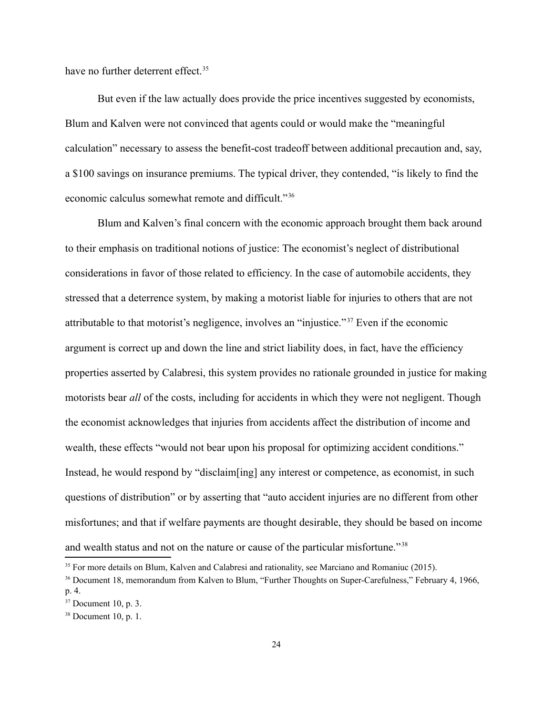have no further deterrent effect.<sup>[35](#page-24-0)</sup>

But even if the law actually does provide the price incentives suggested by economists, Blum and Kalven were not convinced that agents could or would make the "meaningful calculation" necessary to assess the benefit-cost tradeoff between additional precaution and, say, a \$100 savings on insurance premiums. The typical driver, they contended, "is likely to find the economic calculus somewhat remote and difficult."[36](#page-24-1)

Blum and Kalven's final concern with the economic approach brought them back around to their emphasis on traditional notions of justice: The economist's neglect of distributional considerations in favor of those related to efficiency. In the case of automobile accidents, they stressed that a deterrence system, by making a motorist liable for injuries to others that are not attributable to that motorist's negligence, involves an "injustice." [37](#page-24-2) Even if the economic argument is correct up and down the line and strict liability does, in fact, have the efficiency properties asserted by Calabresi, this system provides no rationale grounded in justice for making motorists bear *all* of the costs, including for accidents in which they were not negligent. Though the economist acknowledges that injuries from accidents affect the distribution of income and wealth, these effects "would not bear upon his proposal for optimizing accident conditions." Instead, he would respond by "disclaim[ing] any interest or competence, as economist, in such questions of distribution" or by asserting that "auto accident injuries are no different from other misfortunes; and that if welfare payments are thought desirable, they should be based on income and wealth status and not on the nature or cause of the particular misfortune."<sup>[38](#page-24-3)</sup>

<span id="page-24-0"></span><sup>&</sup>lt;sup>35</sup> For more details on Blum, Kalven and Calabresi and rationality, see Marciano and Romaniuc (2015).

<span id="page-24-1"></span><sup>&</sup>lt;sup>36</sup> Document 18, memorandum from Kalven to Blum, "Further Thoughts on Super-Carefulness," February 4, 1966, p. 4.

<span id="page-24-2"></span> $37$  Document 10, p. 3.

<span id="page-24-3"></span> $38$  Document 10, p. 1.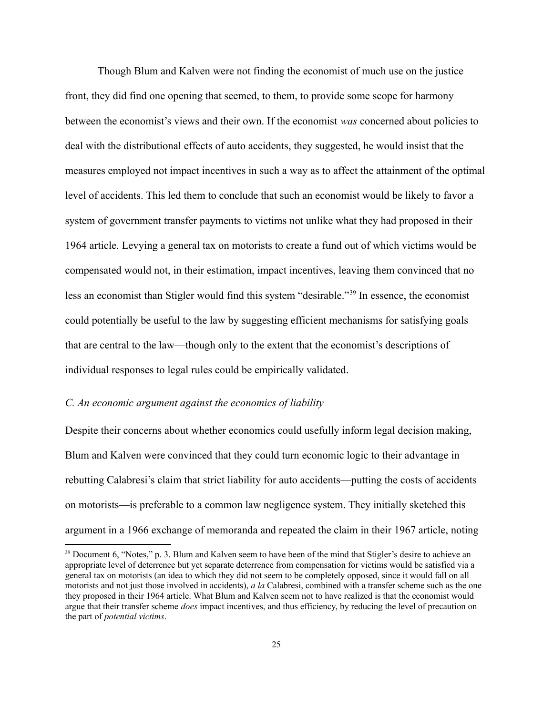Though Blum and Kalven were not finding the economist of much use on the justice front, they did find one opening that seemed, to them, to provide some scope for harmony between the economist's views and their own. If the economist *was* concerned about policies to deal with the distributional effects of auto accidents, they suggested, he would insist that the measures employed not impact incentives in such a way as to affect the attainment of the optimal level of accidents. This led them to conclude that such an economist would be likely to favor a system of government transfer payments to victims not unlike what they had proposed in their 1964 article. Levying a general tax on motorists to create a fund out of which victims would be compensated would not, in their estimation, impact incentives, leaving them convinced that no less an economist than Stigler would find this system "desirable."[39](#page-25-0) In essence, the economist could potentially be useful to the law by suggesting efficient mechanisms for satisfying goals that are central to the law—though only to the extent that the economist's descriptions of individual responses to legal rules could be empirically validated.

#### *C. An economic argument against the economics of liability*

Despite their concerns about whether economics could usefully inform legal decision making, Blum and Kalven were convinced that they could turn economic logic to their advantage in rebutting Calabresi's claim that strict liability for auto accidents—putting the costs of accidents on motorists—is preferable to a common law negligence system. They initially sketched this argument in a 1966 exchange of memoranda and repeated the claim in their 1967 article, noting

<span id="page-25-0"></span><sup>&</sup>lt;sup>39</sup> Document 6, "Notes," p. 3. Blum and Kalven seem to have been of the mind that Stigler's desire to achieve an appropriate level of deterrence but yet separate deterrence from compensation for victims would be satisfied via a general tax on motorists (an idea to which they did not seem to be completely opposed, since it would fall on all motorists and not just those involved in accidents), *a la* Calabresi, combined with a transfer scheme such as the one they proposed in their 1964 article. What Blum and Kalven seem not to have realized is that the economist would argue that their transfer scheme *does* impact incentives, and thus efficiency, by reducing the level of precaution on the part of *potential victims*.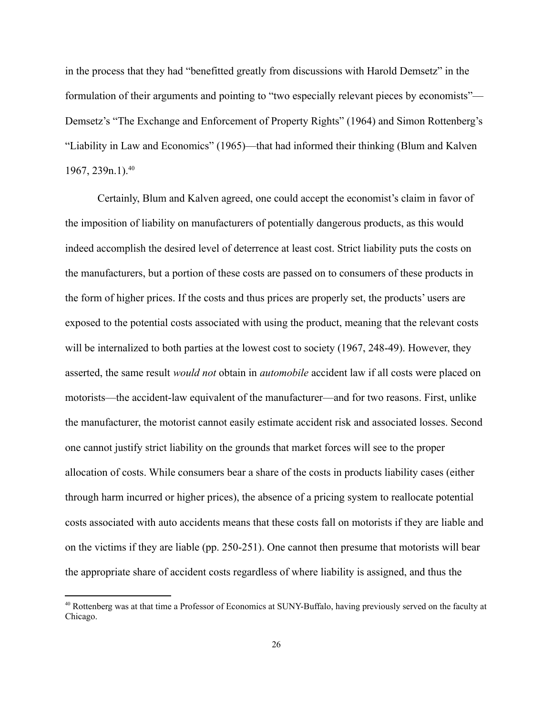in the process that they had "benefitted greatly from discussions with Harold Demsetz" in the formulation of their arguments and pointing to "two especially relevant pieces by economists"— Demsetz's "The Exchange and Enforcement of Property Rights" (1964) and Simon Rottenberg's "Liability in Law and Economics" (1965)—that had informed their thinking (Blum and Kalven 1967, 239n.1).<sup>[40](#page-26-0)</sup>

Certainly, Blum and Kalven agreed, one could accept the economist's claim in favor of the imposition of liability on manufacturers of potentially dangerous products, as this would indeed accomplish the desired level of deterrence at least cost. Strict liability puts the costs on the manufacturers, but a portion of these costs are passed on to consumers of these products in the form of higher prices. If the costs and thus prices are properly set, the products' users are exposed to the potential costs associated with using the product, meaning that the relevant costs will be internalized to both parties at the lowest cost to society (1967, 248-49). However, they asserted, the same result *would not* obtain in *automobile* accident law if all costs were placed on motorists—the accident-law equivalent of the manufacturer—and for two reasons. First, unlike the manufacturer, the motorist cannot easily estimate accident risk and associated losses. Second one cannot justify strict liability on the grounds that market forces will see to the proper allocation of costs. While consumers bear a share of the costs in products liability cases (either through harm incurred or higher prices), the absence of a pricing system to reallocate potential costs associated with auto accidents means that these costs fall on motorists if they are liable and on the victims if they are liable (pp. 250-251). One cannot then presume that motorists will bear the appropriate share of accident costs regardless of where liability is assigned, and thus the

<span id="page-26-0"></span><sup>40</sup> Rottenberg was at that time a Professor of Economics at SUNY-Buffalo, having previously served on the faculty at Chicago.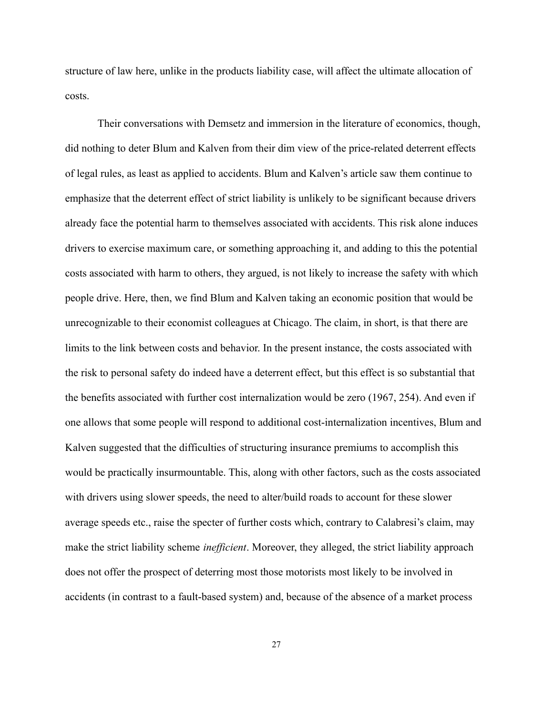structure of law here, unlike in the products liability case, will affect the ultimate allocation of costs.

Their conversations with Demsetz and immersion in the literature of economics, though, did nothing to deter Blum and Kalven from their dim view of the price-related deterrent effects of legal rules, as least as applied to accidents. Blum and Kalven's article saw them continue to emphasize that the deterrent effect of strict liability is unlikely to be significant because drivers already face the potential harm to themselves associated with accidents. This risk alone induces drivers to exercise maximum care, or something approaching it, and adding to this the potential costs associated with harm to others, they argued, is not likely to increase the safety with which people drive. Here, then, we find Blum and Kalven taking an economic position that would be unrecognizable to their economist colleagues at Chicago. The claim, in short, is that there are limits to the link between costs and behavior. In the present instance, the costs associated with the risk to personal safety do indeed have a deterrent effect, but this effect is so substantial that the benefits associated with further cost internalization would be zero (1967, 254). And even if one allows that some people will respond to additional cost-internalization incentives, Blum and Kalven suggested that the difficulties of structuring insurance premiums to accomplish this would be practically insurmountable. This, along with other factors, such as the costs associated with drivers using slower speeds, the need to alter/build roads to account for these slower average speeds etc., raise the specter of further costs which, contrary to Calabresi's claim, may make the strict liability scheme *inefficient*. Moreover, they alleged, the strict liability approach does not offer the prospect of deterring most those motorists most likely to be involved in accidents (in contrast to a fault-based system) and, because of the absence of a market process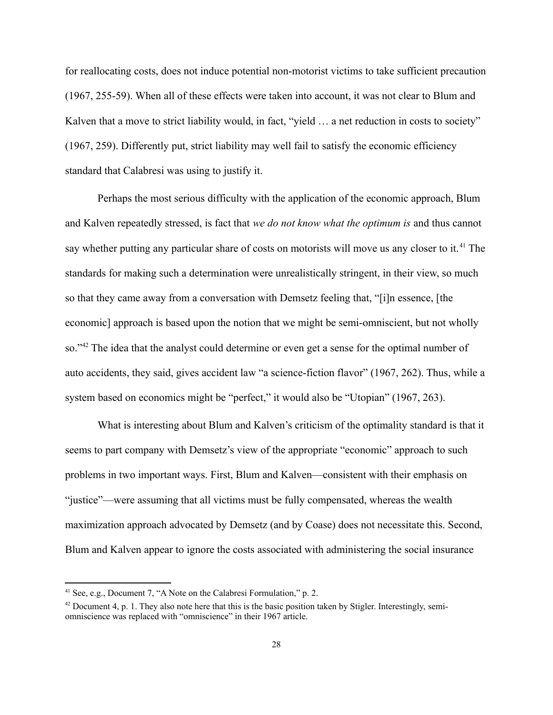for reallocating costs, does not induce potential non-motorist victims to take sufficient precaution (1967, 255-59). When all of these effects were taken into account, it was not clear to Blum and Kalven that a move to strict liability would, in fact, "yield ... a net reduction in costs to society" (1967, 259). Differently put, strict liability may well fail to satisfy the economic efficiency standard that Calabresi was using to justify it.

Perhaps the most serious difficulty with the application of the economic approach, Blum and Kalven repeatedly stressed, is fact that *we do not know what the optimum is* and thus cannot say whether putting any particular share of costs on motorists will move us any closer to it.<sup>[41](#page-28-0)</sup> The standards for making such a determination were unrealistically stringent, in their view, so much so that they came away from a conversation with Demsetz feeling that, "[i]n essence, [the economic] approach is based upon the notion that we might be semi-omniscient, but not wholly so."<sup>[42](#page-28-1)</sup> The idea that the analyst could determine or even get a sense for the optimal number of auto accidents, they said, gives accident law "a science-fiction flavor" (1967, 262). Thus, while a system based on economics might be "perfect," it would also be "Utopian" (1967, 263).

What is interesting about Blum and Kalven's criticism of the optimality standard is that it seems to part company with Demsetz's view of the appropriate "economic" approach to such problems in two important ways. First, Blum and Kalven—consistent with their emphasis on "justice"—were assuming that all victims must be fully compensated, whereas the wealth maximization approach advocated by Demsetz (and by Coase) does not necessitate this. Second, Blum and Kalven appear to ignore the costs associated with administering the social insurance

<span id="page-28-0"></span><sup>41</sup> See, e.g., Document 7, "A Note on the Calabresi Formulation," p. 2.

<span id="page-28-1"></span><sup>&</sup>lt;sup>42</sup> Document 4, p. 1. They also note here that this is the basic position taken by Stigler. Interestingly, semiomniscience was replaced with "omniscience" in their 1967 article.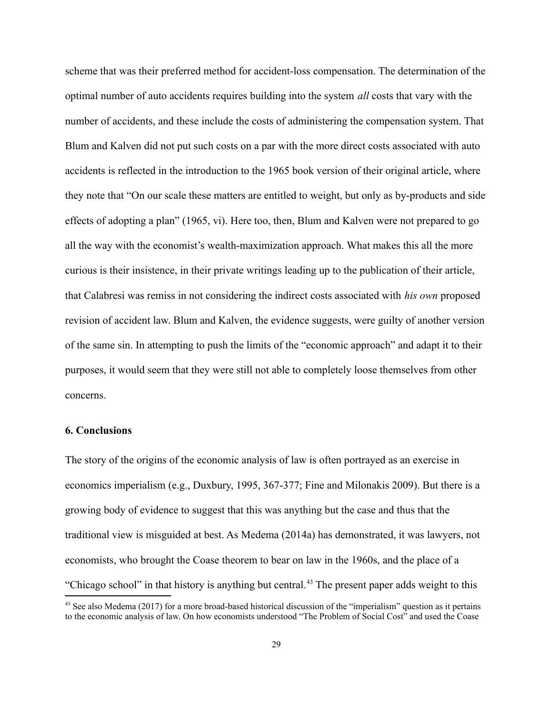scheme that was their preferred method for accident-loss compensation. The determination of the optimal number of auto accidents requires building into the system *all* costs that vary with the number of accidents, and these include the costs of administering the compensation system. That Blum and Kalven did not put such costs on a par with the more direct costs associated with auto accidents is reflected in the introduction to the 1965 book version of their original article, where they note that "On our scale these matters are entitled to weight, but only as by-products and side effects of adopting a plan" (1965, vi). Here too, then, Blum and Kalven were not prepared to go all the way with the economist's wealth-maximization approach. What makes this all the more curious is their insistence, in their private writings leading up to the publication of their article, that Calabresi was remiss in not considering the indirect costs associated with *his own* proposed revision of accident law. Blum and Kalven, the evidence suggests, were guilty of another version of the same sin. In attempting to push the limits of the "economic approach" and adapt it to their purposes, it would seem that they were still not able to completely loose themselves from other concerns.

#### **6. Conclusions**

The story of the origins of the economic analysis of law is often portrayed as an exercise in economics imperialism (e.g., Duxbury, 1995, 367-377; Fine and Milonakis 2009). But there is a growing body of evidence to suggest that this was anything but the case and thus that the traditional view is misguided at best. As Medema (2014a) has demonstrated, it was lawyers, not economists, who brought the Coase theorem to bear on law in the 1960s, and the place of a "Chicago school" in that history is anything but central.<sup>[43](#page-29-0)</sup> The present paper adds weight to this

<span id="page-29-0"></span><sup>&</sup>lt;sup>43</sup> See also Medema (2017) for a more broad-based historical discussion of the "imperialism" question as it pertains to the economic analysis of law. On how economists understood "The Problem of Social Cost" and used the Coase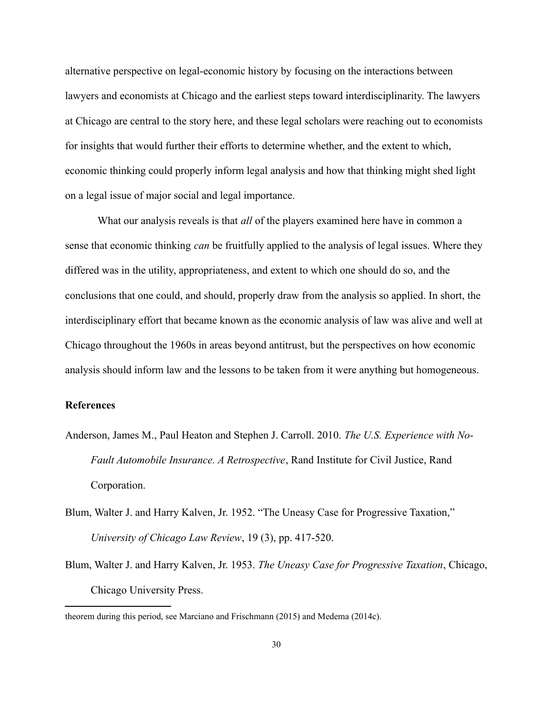alternative perspective on legal-economic history by focusing on the interactions between lawyers and economists at Chicago and the earliest steps toward interdisciplinarity. The lawyers at Chicago are central to the story here, and these legal scholars were reaching out to economists for insights that would further their efforts to determine whether, and the extent to which, economic thinking could properly inform legal analysis and how that thinking might shed light on a legal issue of major social and legal importance.

What our analysis reveals is that *all* of the players examined here have in common a sense that economic thinking *can* be fruitfully applied to the analysis of legal issues. Where they differed was in the utility, appropriateness, and extent to which one should do so, and the conclusions that one could, and should, properly draw from the analysis so applied. In short, the interdisciplinary effort that became known as the economic analysis of law was alive and well at Chicago throughout the 1960s in areas beyond antitrust, but the perspectives on how economic analysis should inform law and the lessons to be taken from it were anything but homogeneous.

#### **References**

- Anderson, James M., Paul Heaton and Stephen J. Carroll. 2010. *The U.S. Experience with No-Fault Automobile Insurance. A Retrospective*, Rand Institute for Civil Justice, Rand Corporation.
- Blum, Walter J. and Harry Kalven, Jr. 1952. "The Uneasy Case for Progressive Taxation," *University of Chicago Law Review*, 19 (3), pp. 417-520.
- Blum, Walter J. and Harry Kalven, Jr. 1953. *The Uneasy Case for Progressive Taxation*, Chicago, Chicago University Press.

theorem during this period, see Marciano and Frischmann (2015) and Medema (2014c).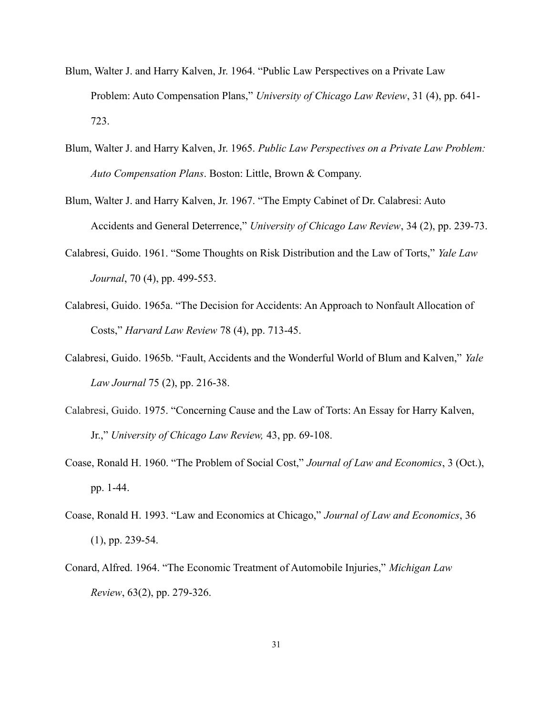- Blum, Walter J. and Harry Kalven, Jr. 1964. "Public Law Perspectives on a Private Law Problem: Auto Compensation Plans," *University of Chicago Law Review*, 31 (4), pp. 641- 723.
- Blum, Walter J. and Harry Kalven, Jr. 1965. *Public Law Perspectives on a Private Law Problem: Auto Compensation Plans*. Boston: Little, Brown & Company.
- Blum, Walter J. and Harry Kalven, Jr. 1967. "The Empty Cabinet of Dr. Calabresi: Auto Accidents and General Deterrence," *University of Chicago Law Review*, 34 (2), pp. 239-73.
- Calabresi, Guido. 1961. "Some Thoughts on Risk Distribution and the Law of Torts," *Yale Law Journal*, 70 (4), pp. 499-553.
- Calabresi, Guido. 1965a. "The Decision for Accidents: An Approach to Nonfault Allocation of Costs," *Harvard Law Review* 78 (4), pp. 713-45.
- Calabresi, Guido. 1965b. "Fault, Accidents and the Wonderful World of Blum and Kalven," *Yale Law Journal* 75 (2), pp. 216-38.
- Calabresi, Guido. 1975. "Concerning Cause and the Law of Torts: An Essay for Harry Kalven, Jr.," *University of Chicago Law Review,* 43, pp. 69-108.
- Coase, Ronald H. 1960. "The Problem of Social Cost," *Journal of Law and Economics*, 3 (Oct.), pp. 1-44.
- Coase, Ronald H. 1993. "Law and Economics at Chicago," *Journal of Law and Economics*, 36 (1), pp. 239-54.
- Conard, Alfred. 1964. "The Economic Treatment of Automobile Injuries," *Michigan Law Review*, 63(2), pp. 279-326.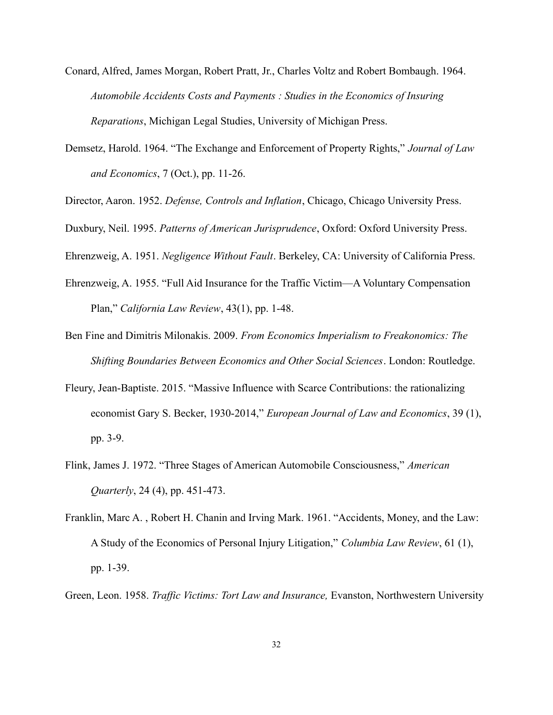- Conard, Alfred, James Morgan, Robert Pratt, Jr., Charles Voltz and Robert Bombaugh. 1964. *Automobile Accidents Costs and Payments : Studies in the Economics of Insuring Reparations*, Michigan Legal Studies, University of Michigan Press.
- Demsetz, Harold. 1964. "The Exchange and Enforcement of Property Rights," *Journal of Law and Economics*, 7 (Oct.), pp. 11-26.
- Director, Aaron. 1952. *Defense, Controls and Inflation*, Chicago, Chicago University Press.
- Duxbury, Neil. 1995. *Patterns of American Jurisprudence*, Oxford: Oxford University Press.

Ehrenzweig, A. 1951. *Negligence Without Fault*. Berkeley, CA: University of California Press.

- Ehrenzweig, A. 1955. "Full Aid Insurance for the Traffic Victim—A Voluntary Compensation Plan," *California Law Review*, 43(1), pp. 1-48.
- Ben Fine and Dimitris Milonakis. 2009. *From Economics Imperialism to Freakonomics: The Shifting Boundaries Between Economics and Other Social Sciences*. London: Routledge.
- Fleury, Jean-Baptiste. 2015. "Massive Influence with Scarce Contributions: the rationalizing economist Gary S. Becker, 1930-2014," *European Journal of Law and Economics*, 39 (1), pp. 3-9.
- Flink, James J. 1972. "Three Stages of American Automobile Consciousness," *American Quarterly*, 24 (4), pp. 451-473.
- Franklin, Marc A. , Robert H. Chanin and Irving Mark. 1961. "Accidents, Money, and the Law: A Study of the Economics of Personal Injury Litigation," *Columbia Law Review*, 61 (1), pp. 1-39.
- Green, Leon. 1958. *Traffic Victims: Tort Law and Insurance,* Evanston, Northwestern University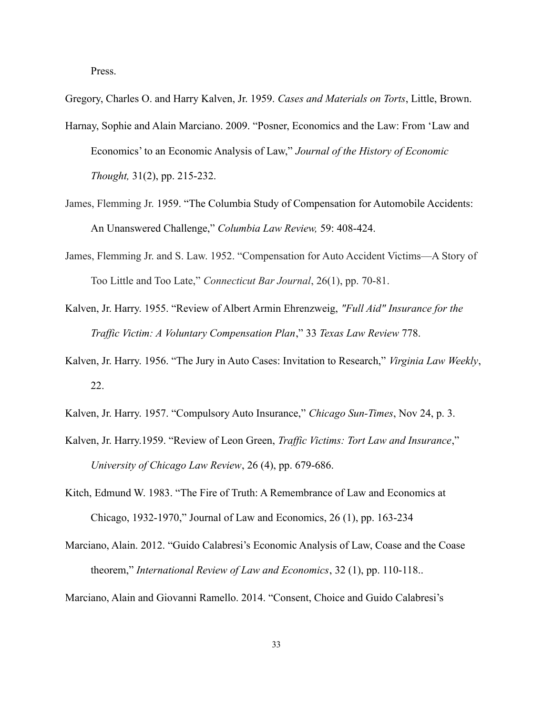Press.

Gregory, Charles O. and Harry Kalven, Jr. 1959. *Cases and Materials on Torts*, Little, Brown.

- Harnay, Sophie and Alain Marciano. 2009. "Posner, Economics and the Law: From 'Law and Economics' to an Economic Analysis of Law," *Journal of the History of Economic Thought,* 31(2), pp. 215-232.
- James, Flemming Jr. 1959. "The Columbia Study of Compensation for Automobile Accidents: An Unanswered Challenge," *Columbia Law Review,* 59: 408-424.
- James, Flemming Jr. and S. Law. 1952. "Compensation for Auto Accident Victims—A Story of Too Little and Too Late," *Connecticut Bar Journal*, 26(1), pp. 70-81.
- Kalven, Jr. Harry. 1955. "Review of Albert Armin Ehrenzweig, *"Full Aid" Insurance for the Traffic Victim: A Voluntary Compensation Plan*," 33 *Texas Law Review* 778.
- Kalven, Jr. Harry. 1956. "The Jury in Auto Cases: Invitation to Research," *Virginia Law Weekly*, 22.
- Kalven, Jr. Harry. 1957. "Compulsory Auto Insurance," *Chicago Sun-Times*, Nov 24, p. 3.
- Kalven, Jr. Harry.1959. "Review of Leon Green, *Traffic Victims: Tort Law and Insurance*," *University of Chicago Law Review*, 26 (4), pp. 679-686.
- Kitch, Edmund W. 1983. "The Fire of Truth: A Remembrance of Law and Economics at Chicago, 1932-1970," Journal of Law and Economics, 26 (1), pp. 163-234
- Marciano, Alain. 2012. "Guido Calabresi's Economic Analysis of Law, Coase and the Coase theorem," *International Review of Law and Economics*, 32 (1), pp. 110-118..

Marciano, Alain and Giovanni Ramello. 2014. "Consent, Choice and Guido Calabresi's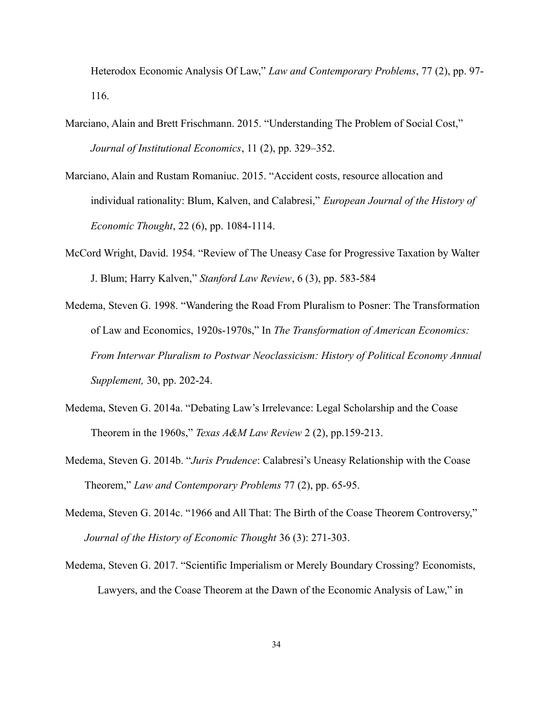Heterodox Economic Analysis Of Law," *Law and Contemporary Problems*, 77 (2), pp. 97- 116.

- Marciano, Alain and Brett Frischmann. 2015. "Understanding The Problem of Social Cost," *Journal of Institutional Economics*, 11 (2), pp. 329–352.
- Marciano, Alain and Rustam Romaniuc. 2015. "Accident costs, resource allocation and individual rationality: Blum, Kalven, and Calabresi," *European Journal of the History of Economic Thought*, 22 (6), pp. 1084-1114.
- McCord Wright, David. 1954. "Review of The Uneasy Case for Progressive Taxation by Walter J. Blum; Harry Kalven," *Stanford Law Review*, 6 (3), pp. 583-584
- Medema, Steven G. 1998. "Wandering the Road From Pluralism to Posner: The Transformation of Law and Economics, 1920s-1970s," In *The Transformation of American Economics: From Interwar Pluralism to Postwar Neoclassicism: History of Political Economy Annual Supplement,* 30, pp. 202-24.
- Medema, Steven G. 2014a. "Debating Law's Irrelevance: Legal Scholarship and the Coase Theorem in the 1960s," *Texas A&M Law Review* 2 (2), pp.159-213.
- Medema, Steven G. 2014b. "*Juris Prudence*: Calabresi's Uneasy Relationship with the Coase Theorem," *Law and Contemporary Problems* 77 (2), pp. 65-95.
- Medema, Steven G. 2014c. "1966 and All That: The Birth of the Coase Theorem Controversy," *Journal of the History of Economic Thought* 36 (3): 271-303.
- Medema, Steven G. 2017. "Scientific Imperialism or Merely Boundary Crossing? Economists, Lawyers, and the Coase Theorem at the Dawn of the Economic Analysis of Law," in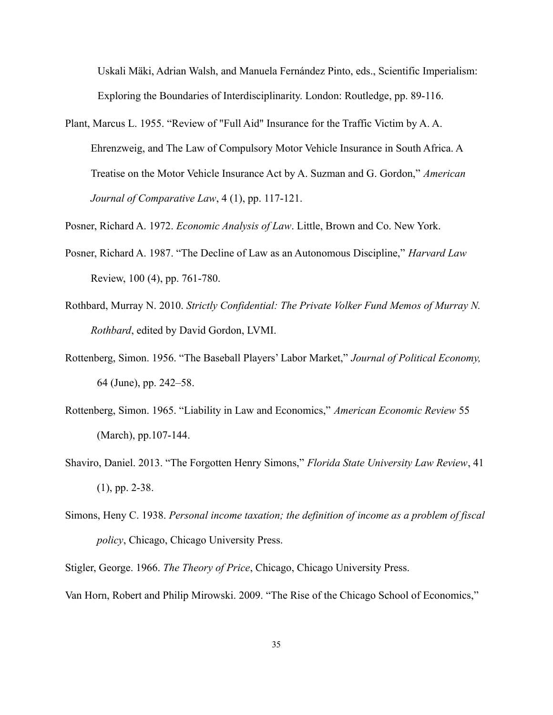Uskali Mäki, Adrian Walsh, and Manuela Fernández Pinto, eds., Scientific Imperialism: Exploring the Boundaries of Interdisciplinarity. London: Routledge, pp. 89-116.

Plant, Marcus L. 1955. "Review of "Full Aid" Insurance for the Traffic Victim by A. A. Ehrenzweig, and The Law of Compulsory Motor Vehicle Insurance in South Africa. A Treatise on the Motor Vehicle Insurance Act by A. Suzman and G. Gordon," *American Journal of Comparative Law*, 4 (1), pp. 117-121.

Posner, Richard A. 1972. *Economic Analysis of Law*. Little, Brown and Co. New York.

- Posner, Richard A. 1987. "The Decline of Law as an Autonomous Discipline," *Harvard Law*  Review, 100 (4), pp. 761-780.
- Rothbard, Murray N. 2010. *Strictly Confidential: The Private Volker Fund Memos of Murray N. Rothbard*, edited by David Gordon, LVMI.
- Rottenberg, Simon. 1956. "The Baseball Players' Labor Market," *Journal of Political Economy,*  64 (June), pp. 242–58.
- Rottenberg, Simon. 1965. "Liability in Law and Economics," *American Economic Review* 55 (March), pp.107-144.
- Shaviro, Daniel. 2013. "The Forgotten Henry Simons," *Florida State University Law Review*, 41 (1), pp. 2-38.
- Simons, Heny C. 1938. *Personal income taxation; the definition of income as a problem of fiscal policy*, Chicago, Chicago University Press.

Stigler, George. 1966. *The Theory of Price*, Chicago, Chicago University Press.

Van Horn, Robert and Philip Mirowski. 2009. "The Rise of the Chicago School of Economics,"